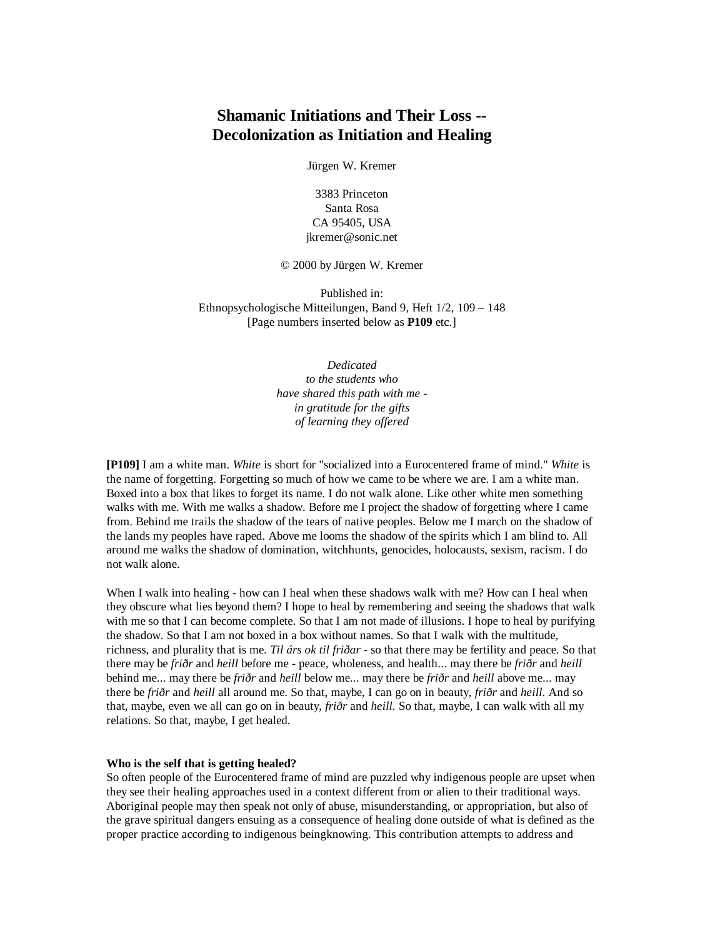## **Shamanic Initiations and Their Loss -- Decolonization as Initiation and Healing**

Jürgen W. Kremer

3383 Princeton Santa Rosa CA 95405, USA jkremer@sonic.net

© 2000 by Jürgen W. Kremer

Published in: Ethnopsychologische Mitteilungen, Band 9, Heft 1/2, 109 – 148 [Page numbers inserted below as **P109** etc.]

> *Dedicated to the students who have shared this path with me in gratitude for the gifts of learning they offered*

**[P109]** I am a white man. *White* is short for "socialized into a Eurocentered frame of mind." *White* is the name of forgetting. Forgetting so much of how we came to be where we are. I am a white man. Boxed into a box that likes to forget its name. I do not walk alone. Like other white men something walks with me. With me walks a shadow. Before me I project the shadow of forgetting where I came from. Behind me trails the shadow of the tears of native peoples. Below me I march on the shadow of the lands my peoples have raped. Above me looms the shadow of the spirits which I am blind to. All around me walks the shadow of domination, witchhunts, genocides, holocausts, sexism, racism. I do not walk alone.

When I walk into healing - how can I heal when these shadows walk with me? How can I heal when they obscure what lies beyond them? I hope to heal by remembering and seeing the shadows that walk with me so that I can become complete. So that I am not made of illusions. I hope to heal by purifying the shadow. So that I am not boxed in a box without names. So that I walk with the multitude, richness, and plurality that is me. *Til árs ok til friðar* - so that there may be fertility and peace. So that there may be *friðr* and *heill* before me - peace, wholeness, and health... may there be *friðr* and *heill* behind me... may there be *friðr* and *heill* below me... may there be *friðr* and *heill* above me... may there be *friðr* and *heill* all around me. So that, maybe, I can go on in beauty, *friðr* and *heill*. And so that, maybe, even we all can go on in beauty, *friðr* and *heill.* So that, maybe, I can walk with all my relations. So that, maybe, I get healed.

#### **Who is the self that is getting healed?**

So often people of the Eurocentered frame of mind are puzzled why indigenous people are upset when they see their healing approaches used in a context different from or alien to their traditional ways. Aboriginal people may then speak not only of abuse, misunderstanding, or appropriation, but also of the grave spiritual dangers ensuing as a consequence of healing done outside of what is defined as the proper practice according to indigenous beingknowing. This contribution attempts to address and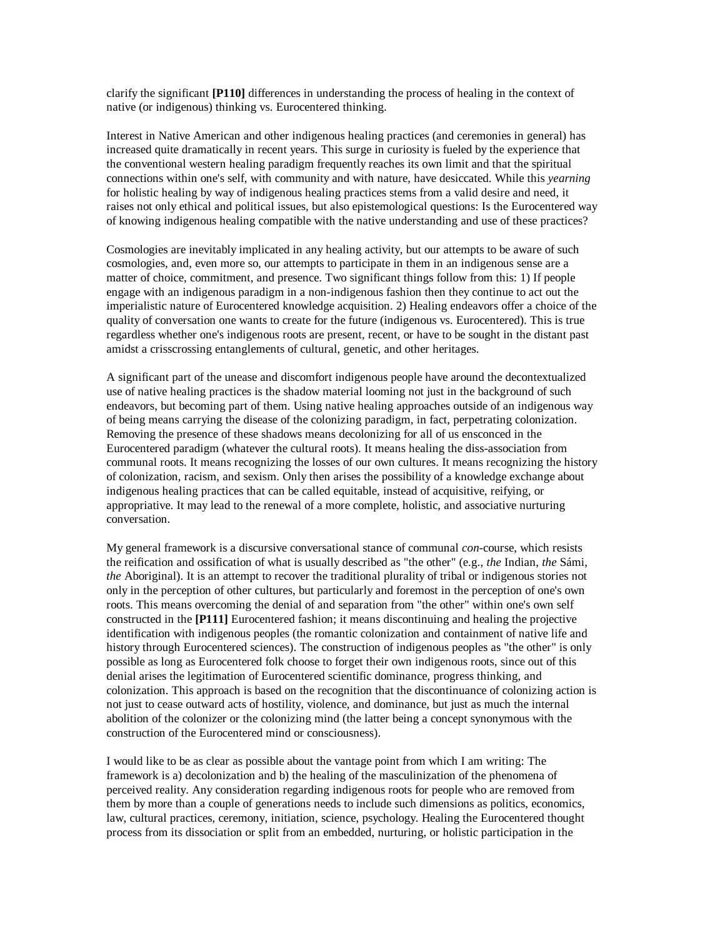clarify the significant **[P110]** differences in understanding the process of healing in the context of native (or indigenous) thinking vs. Eurocentered thinking.

Interest in Native American and other indigenous healing practices (and ceremonies in general) has increased quite dramatically in recent years. This surge in curiosity is fueled by the experience that the conventional western healing paradigm frequently reaches its own limit and that the spiritual connections within one's self, with community and with nature, have desiccated. While this *yearning* for holistic healing by way of indigenous healing practices stems from a valid desire and need, it raises not only ethical and political issues, but also epistemological questions: Is the Eurocentered way of knowing indigenous healing compatible with the native understanding and use of these practices?

Cosmologies are inevitably implicated in any healing activity, but our attempts to be aware of such cosmologies, and, even more so, our attempts to participate in them in an indigenous sense are a matter of choice, commitment, and presence. Two significant things follow from this: 1) If people engage with an indigenous paradigm in a non-indigenous fashion then they continue to act out the imperialistic nature of Eurocentered knowledge acquisition. 2) Healing endeavors offer a choice of the quality of conversation one wants to create for the future (indigenous vs. Eurocentered). This is true regardless whether one's indigenous roots are present, recent, or have to be sought in the distant past amidst a crisscrossing entanglements of cultural, genetic, and other heritages.

A significant part of the unease and discomfort indigenous people have around the decontextualized use of native healing practices is the shadow material looming not just in the background of such endeavors, but becoming part of them. Using native healing approaches outside of an indigenous way of being means carrying the disease of the colonizing paradigm, in fact, perpetrating colonization. Removing the presence of these shadows means decolonizing for all of us ensconced in the Eurocentered paradigm (whatever the cultural roots). It means healing the diss-association from communal roots. It means recognizing the losses of our own cultures. It means recognizing the history of colonization, racism, and sexism. Only then arises the possibility of a knowledge exchange about indigenous healing practices that can be called equitable, instead of acquisitive, reifying, or appropriative. It may lead to the renewal of a more complete, holistic, and associative nurturing conversation.

My general framework is a discursive conversational stance of communal *con*-course, which resists the reification and ossification of what is usually described as "the other" (e.g., *the* Indian, *the* Sámi, *the* Aboriginal). It is an attempt to recover the traditional plurality of tribal or indigenous stories not only in the perception of other cultures, but particularly and foremost in the perception of one's own roots. This means overcoming the denial of and separation from "the other" within one's own self constructed in the **[P111]** Eurocentered fashion; it means discontinuing and healing the projective identification with indigenous peoples (the romantic colonization and containment of native life and history through Eurocentered sciences). The construction of indigenous peoples as "the other" is only possible as long as Eurocentered folk choose to forget their own indigenous roots, since out of this denial arises the legitimation of Eurocentered scientific dominance, progress thinking, and colonization. This approach is based on the recognition that the discontinuance of colonizing action is not just to cease outward acts of hostility, violence, and dominance, but just as much the internal abolition of the colonizer or the colonizing mind (the latter being a concept synonymous with the construction of the Eurocentered mind or consciousness).

I would like to be as clear as possible about the vantage point from which I am writing: The framework is a) decolonization and b) the healing of the masculinization of the phenomena of perceived reality. Any consideration regarding indigenous roots for people who are removed from them by more than a couple of generations needs to include such dimensions as politics, economics, law, cultural practices, ceremony, initiation, science, psychology. Healing the Eurocentered thought process from its dissociation or split from an embedded, nurturing, or holistic participation in the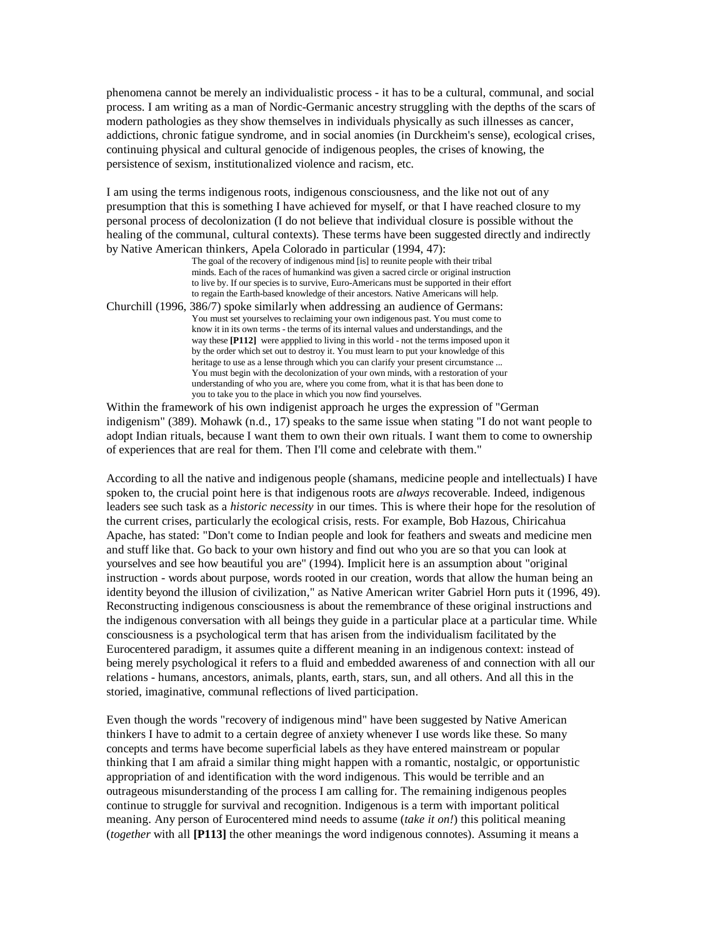phenomena cannot be merely an individualistic process - it has to be a cultural, communal, and social process. I am writing as a man of Nordic-Germanic ancestry struggling with the depths of the scars of modern pathologies as they show themselves in individuals physically as such illnesses as cancer, addictions, chronic fatigue syndrome, and in social anomies (in Durckheim's sense), ecological crises, continuing physical and cultural genocide of indigenous peoples, the crises of knowing, the persistence of sexism, institutionalized violence and racism, etc.

I am using the terms indigenous roots, indigenous consciousness, and the like not out of any presumption that this is something I have achieved for myself, or that I have reached closure to my personal process of decolonization (I do not believe that individual closure is possible without the healing of the communal, cultural contexts). These terms have been suggested directly and indirectly by Native American thinkers, Apela Colorado in particular (1994, 47):

The goal of the recovery of indigenous mind [is] to reunite people with their tribal minds. Each of the races of humankind was given a sacred circle or original instruction to live by. If our species is to survive, Euro-Americans must be supported in their effort to regain the Earth-based knowledge of their ancestors. Native Americans will help.

Churchill (1996, 386/7) spoke similarly when addressing an audience of Germans: You must set yourselves to reclaiming your own indigenous past. You must come to know it in its own terms - the terms of its internal values and understandings, and the way these **[P112]** were appplied to living in this world - not the terms imposed upon it by the order which set out to destroy it. You must learn to put your knowledge of this heritage to use as a lense through which you can clarify your present circumstance ... You must begin with the decolonization of your own minds, with a restoration of your understanding of who you are, where you come from, what it is that has been done to you to take you to the place in which you now find yourselves.

Within the framework of his own indigenist approach he urges the expression of "German indigenism" (389). Mohawk (n.d., 17) speaks to the same issue when stating "I do not want people to adopt Indian rituals, because I want them to own their own rituals. I want them to come to ownership of experiences that are real for them. Then I'll come and celebrate with them."

According to all the native and indigenous people (shamans, medicine people and intellectuals) I have spoken to, the crucial point here is that indigenous roots are *always* recoverable. Indeed, indigenous leaders see such task as a *historic necessity* in our times. This is where their hope for the resolution of the current crises, particularly the ecological crisis, rests. For example, Bob Hazous, Chiricahua Apache, has stated: "Don't come to Indian people and look for feathers and sweats and medicine men and stuff like that. Go back to your own history and find out who you are so that you can look at yourselves and see how beautiful you are" (1994). Implicit here is an assumption about "original instruction - words about purpose, words rooted in our creation, words that allow the human being an identity beyond the illusion of civilization," as Native American writer Gabriel Horn puts it (1996, 49). Reconstructing indigenous consciousness is about the remembrance of these original instructions and the indigenous conversation with all beings they guide in a particular place at a particular time. While consciousness is a psychological term that has arisen from the individualism facilitated by the Eurocentered paradigm, it assumes quite a different meaning in an indigenous context: instead of being merely psychological it refers to a fluid and embedded awareness of and connection with all our relations - humans, ancestors, animals, plants, earth, stars, sun, and all others. And all this in the storied, imaginative, communal reflections of lived participation.

Even though the words "recovery of indigenous mind" have been suggested by Native American thinkers I have to admit to a certain degree of anxiety whenever I use words like these. So many concepts and terms have become superficial labels as they have entered mainstream or popular thinking that I am afraid a similar thing might happen with a romantic, nostalgic, or opportunistic appropriation of and identification with the word indigenous. This would be terrible and an outrageous misunderstanding of the process I am calling for. The remaining indigenous peoples continue to struggle for survival and recognition. Indigenous is a term with important political meaning. Any person of Eurocentered mind needs to assume (*take it on!*) this political meaning (*together* with all **[P113]** the other meanings the word indigenous connotes). Assuming it means a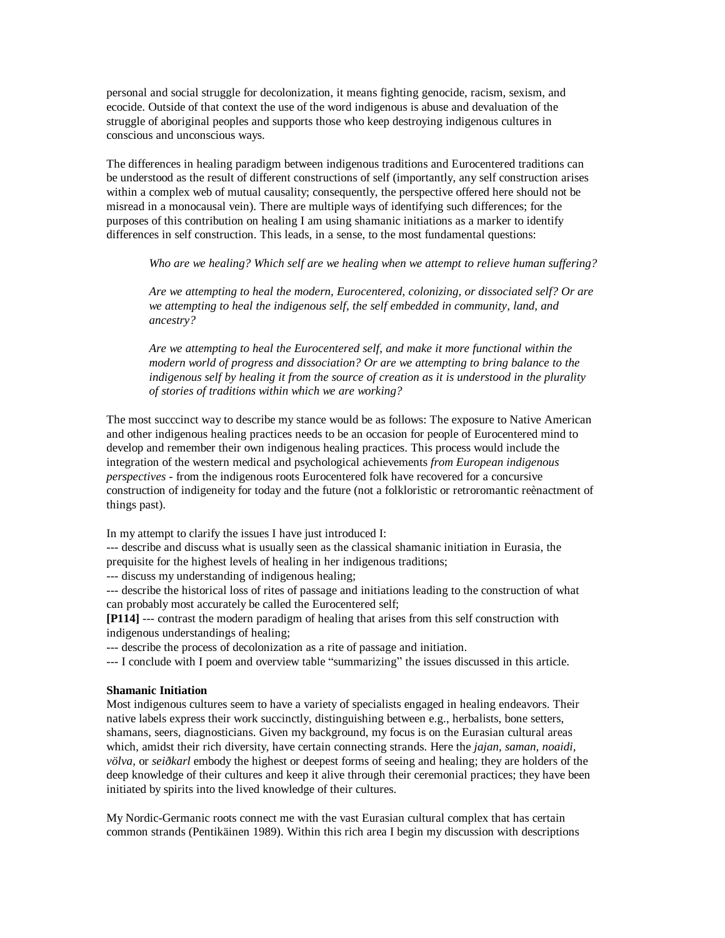personal and social struggle for decolonization, it means fighting genocide, racism, sexism, and ecocide. Outside of that context the use of the word indigenous is abuse and devaluation of the struggle of aboriginal peoples and supports those who keep destroying indigenous cultures in conscious and unconscious ways.

The differences in healing paradigm between indigenous traditions and Eurocentered traditions can be understood as the result of different constructions of self (importantly, any self construction arises within a complex web of mutual causality; consequently, the perspective offered here should not be misread in a monocausal vein). There are multiple ways of identifying such differences; for the purposes of this contribution on healing I am using shamanic initiations as a marker to identify differences in self construction. This leads, in a sense, to the most fundamental questions:

*Who are we healing? Which self are we healing when we attempt to relieve human suffering?* 

*Are we attempting to heal the modern, Eurocentered, colonizing, or dissociated self? Or are we attempting to heal the indigenous self, the self embedded in community, land, and ancestry?* 

*Are we attempting to heal the Eurocentered self, and make it more functional within the modern world of progress and dissociation? Or are we attempting to bring balance to the*  indigenous self by healing it from the source of creation as it is understood in the plurality *of stories of traditions within which we are working?*

The most succcinct way to describe my stance would be as follows: The exposure to Native American and other indigenous healing practices needs to be an occasion for people of Eurocentered mind to develop and remember their own indigenous healing practices. This process would include the integration of the western medical and psychological achievements *from European indigenous perspectives* - from the indigenous roots Eurocentered folk have recovered for a concursive construction of indigeneity for today and the future (not a folkloristic or retroromantic reènactment of things past).

In my attempt to clarify the issues I have just introduced I:

--- describe and discuss what is usually seen as the classical shamanic initiation in Eurasia, the prequisite for the highest levels of healing in her indigenous traditions;

--- discuss my understanding of indigenous healing;

--- describe the historical loss of rites of passage and initiations leading to the construction of what can probably most accurately be called the Eurocentered self;

**[P114]** --- contrast the modern paradigm of healing that arises from this self construction with indigenous understandings of healing;

--- describe the process of decolonization as a rite of passage and initiation.

--- I conclude with I poem and overview table "summarizing" the issues discussed in this article.

#### **Shamanic Initiation**

Most indigenous cultures seem to have a variety of specialists engaged in healing endeavors. Their native labels express their work succinctly, distinguishing between e.g., herbalists, bone setters, shamans, seers, diagnosticians. Given my background, my focus is on the Eurasian cultural areas which, amidst their rich diversity, have certain connecting strands. Here the *jajan, saman, noaidi, völva,* or *seiðkarl* embody the highest or deepest forms of seeing and healing; they are holders of the deep knowledge of their cultures and keep it alive through their ceremonial practices; they have been initiated by spirits into the lived knowledge of their cultures.

My Nordic-Germanic roots connect me with the vast Eurasian cultural complex that has certain common strands (Pentikäinen 1989). Within this rich area I begin my discussion with descriptions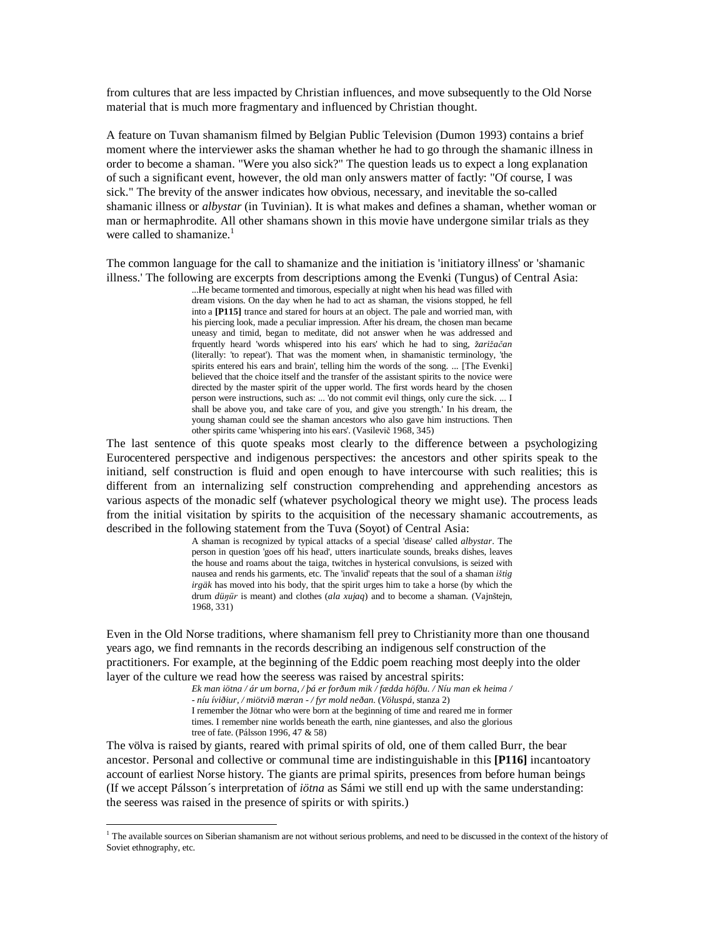from cultures that are less impacted by Christian influences, and move subsequently to the Old Norse material that is much more fragmentary and influenced by Christian thought.

A feature on Tuvan shamanism filmed by Belgian Public Television (Dumon 1993) contains a brief moment where the interviewer asks the shaman whether he had to go through the shamanic illness in order to become a shaman. "Were you also sick?" The question leads us to expect a long explanation of such a significant event, however, the old man only answers matter of factly: "Of course, I was sick." The brevity of the answer indicates how obvious, necessary, and inevitable the so-called shamanic illness or *albystar* (in Tuvinian). It is what makes and defines a shaman, whether woman or man or hermaphrodite. All other shamans shown in this movie have undergone similar trials as they were called to shamanize.<sup>1</sup>

The common language for the call to shamanize and the initiation is 'initiatory illness' or 'shamanic illness.' The following are excerpts from descriptions among the Evenki (Tungus) of Central Asia:

> ...He became tormented and timorous, especially at night when his head was filled with dream visions. On the day when he had to act as shaman, the visions stopped, he fell into a **[P115]** trance and stared for hours at an object. The pale and worried man, with his piercing look, made a peculiar impression. After his dream, the chosen man became uneasy and timid, began to meditate, did not answer when he was addressed and frquently heard 'words whispered into his ears' which he had to sing, ž*arižačan* (literally: 'to repeat'). That was the moment when, in shamanistic terminology, 'the spirits entered his ears and brain', telling him the words of the song. ... [The Evenki] believed that the choice itself and the transfer of the assistant spirits to the novice were directed by the master spirit of the upper world. The first words heard by the chosen person were instructions, such as: ... 'do not commit evil things, only cure the sick. ... I shall be above you, and take care of you, and give you strength.' In his dream, the young shaman could see the shaman ancestors who also gave him instructions. Then other spirits came 'whispering into his ears'. (Vasilevič 1968, 345)

The last sentence of this quote speaks most clearly to the difference between a psychologizing Eurocentered perspective and indigenous perspectives: the ancestors and other spirits speak to the initiand, self construction is fluid and open enough to have intercourse with such realities; this is different from an internalizing self construction comprehending and apprehending ancestors as various aspects of the monadic self (whatever psychological theory we might use). The process leads from the initial visitation by spirits to the acquisition of the necessary shamanic accoutrements, as described in the following statement from the Tuva (Soyot) of Central Asia:

> A shaman is recognized by typical attacks of a special 'disease' called *albystar*. The person in question 'goes off his head', utters inarticulate sounds, breaks dishes, leaves the house and roams about the taiga, twitches in hysterical convulsions, is seized with nausea and rends his garments, etc. The 'invalid' repeats that the soul of a shaman *ištig irgäk* has moved into his body, that the spirit urges him to take a horse (by which the drum *düŋür* is meant) and clothes (*ala xujaq*) and to become a shaman. (Vajnštejn, 1968, 331)

Even in the Old Norse traditions, where shamanism fell prey to Christianity more than one thousand years ago, we find remnants in the records describing an indigenous self construction of the practitioners. For example, at the beginning of the Eddic poem reaching most deeply into the older layer of the culture we read how the seeress was raised by ancestral spirits:

> *Ek man iötna / ár um borna, / þá er forðum mik / fædda höfðu. / Níu man ek heima / - níu íviðiur, / miötvið mæran - / fyr mold neðan.* (*Völuspá*, stanza 2) I remember the Jötnar who were born at the beginning of time and reared me in former times. I remember nine worlds beneath the earth, nine giantesses, and also the glorious tree of fate. (Pálsson 1996, 47 & 58)

The völva is raised by giants, reared with primal spirits of old, one of them called Burr, the bear ancestor. Personal and collective or communal time are indistinguishable in this **[P116]** incantoatory account of earliest Norse history. The giants are primal spirits, presences from before human beings (If we accept Pálsson´s interpretation of *iötna* as Sámi we still end up with the same understanding: the seeress was raised in the presence of spirits or with spirits.)

 $<sup>1</sup>$  The available sources on Siberian shamanism are not without serious problems, and need to be discussed in the context of the history of</sup> Soviet ethnography, etc.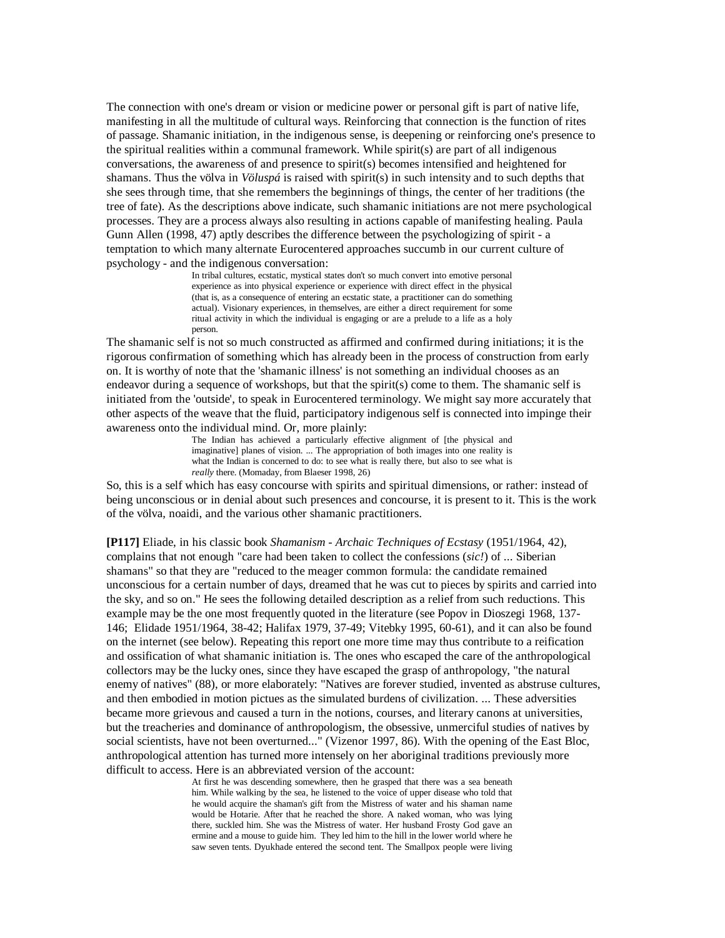The connection with one's dream or vision or medicine power or personal gift is part of native life, manifesting in all the multitude of cultural ways. Reinforcing that connection is the function of rites of passage. Shamanic initiation, in the indigenous sense, is deepening or reinforcing one's presence to the spiritual realities within a communal framework. While spirit(s) are part of all indigenous conversations, the awareness of and presence to spirit(s) becomes intensified and heightened for shamans. Thus the völva in *Völuspá* is raised with spirit(s) in such intensity and to such depths that she sees through time, that she remembers the beginnings of things, the center of her traditions (the tree of fate). As the descriptions above indicate, such shamanic initiations are not mere psychological processes. They are a process always also resulting in actions capable of manifesting healing. Paula Gunn Allen (1998, 47) aptly describes the difference between the psychologizing of spirit - a temptation to which many alternate Eurocentered approaches succumb in our current culture of psychology - and the indigenous conversation:

> In tribal cultures, ecstatic, mystical states don't so much convert into emotive personal experience as into physical experience or experience with direct effect in the physical (that is, as a consequence of entering an ecstatic state, a practitioner can do something actual). Visionary experiences, in themselves, are either a direct requirement for some ritual activity in which the individual is engaging or are a prelude to a life as a holy person.

The shamanic self is not so much constructed as affirmed and confirmed during initiations; it is the rigorous confirmation of something which has already been in the process of construction from early on. It is worthy of note that the 'shamanic illness' is not something an individual chooses as an endeavor during a sequence of workshops, but that the spirit(s) come to them. The shamanic self is initiated from the 'outside', to speak in Eurocentered terminology. We might say more accurately that other aspects of the weave that the fluid, participatory indigenous self is connected into impinge their awareness onto the individual mind. Or, more plainly:

> The Indian has achieved a particularly effective alignment of [the physical and imaginative] planes of vision. ... The appropriation of both images into one reality is what the Indian is concerned to do: to see what is really there, but also to see what is *really* there. (Momaday, from Blaeser 1998, 26)

So, this is a self which has easy concourse with spirits and spiritual dimensions, or rather: instead of being unconscious or in denial about such presences and concourse, it is present to it. This is the work of the völva, noaidi, and the various other shamanic practitioners.

**[P117]** Eliade, in his classic book *Shamanism - Archaic Techniques of Ecstasy* (1951/1964, 42), complains that not enough "care had been taken to collect the confessions (*sic!*) of ... Siberian shamans" so that they are "reduced to the meager common formula: the candidate remained unconscious for a certain number of days, dreamed that he was cut to pieces by spirits and carried into the sky, and so on." He sees the following detailed description as a relief from such reductions. This example may be the one most frequently quoted in the literature (see Popov in Dioszegi 1968, 137- 146; Elidade 1951/1964, 38-42; Halifax 1979, 37-49; Vitebky 1995, 60-61), and it can also be found on the internet (see below). Repeating this report one more time may thus contribute to a reification and ossification of what shamanic initiation is. The ones who escaped the care of the anthropological collectors may be the lucky ones, since they have escaped the grasp of anthropology, "the natural enemy of natives" (88), or more elaborately: "Natives are forever studied, invented as abstruse cultures, and then embodied in motion pictues as the simulated burdens of civilization. ... These adversities became more grievous and caused a turn in the notions, courses, and literary canons at universities, but the treacheries and dominance of anthropologism, the obsessive, unmerciful studies of natives by social scientists, have not been overturned..." (Vizenor 1997, 86). With the opening of the East Bloc, anthropological attention has turned more intensely on her aboriginal traditions previously more difficult to access. Here is an abbreviated version of the account:

> At first he was descending somewhere, then he grasped that there was a sea beneath him. While walking by the sea, he listened to the voice of upper disease who told that he would acquire the shaman's gift from the Mistress of water and his shaman name would be Hotarie. After that he reached the shore. A naked woman, who was lying there, suckled him. She was the Mistress of water. Her husband Frosty God gave an ermine and a mouse to guide him. They led him to the hill in the lower world where he saw seven tents. Dyukhade entered the second tent. The Smallpox people were living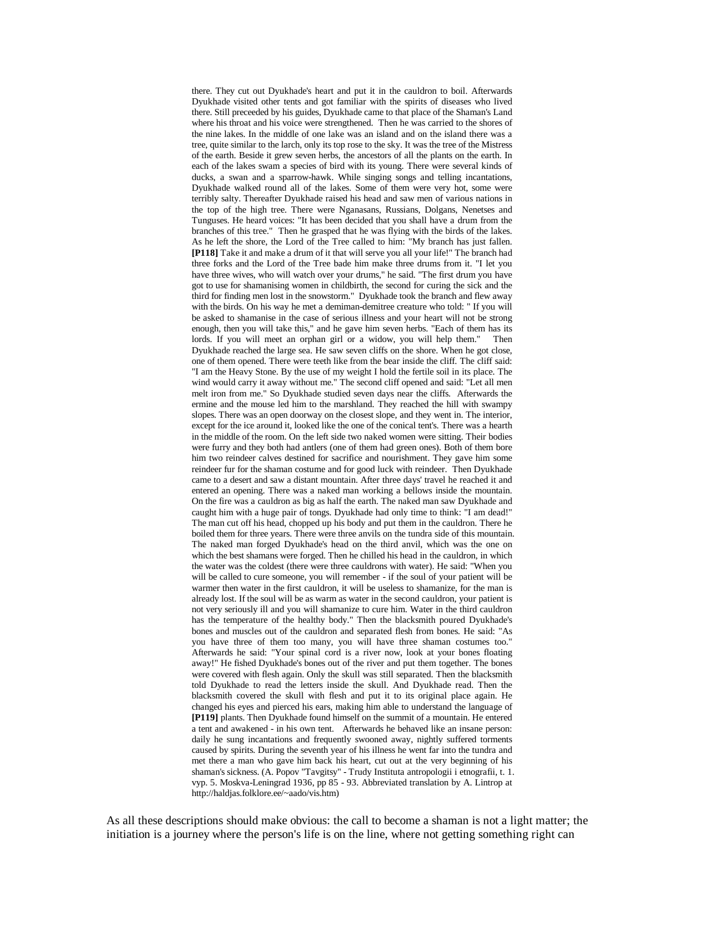there. They cut out Dyukhade's heart and put it in the cauldron to boil. Afterwards Dyukhade visited other tents and got familiar with the spirits of diseases who lived there. Still preceeded by his guides, Dyukhade came to that place of the Shaman's Land where his throat and his voice were strengthened. Then he was carried to the shores of the nine lakes. In the middle of one lake was an island and on the island there was a tree, quite similar to the larch, only its top rose to the sky. It was the tree of the Mistress of the earth. Beside it grew seven herbs, the ancestors of all the plants on the earth. In each of the lakes swam a species of bird with its young. There were several kinds of ducks, a swan and a sparrow-hawk. While singing songs and telling incantations, Dyukhade walked round all of the lakes. Some of them were very hot, some were terribly salty. Thereafter Dyukhade raised his head and saw men of various nations in the top of the high tree. There were Nganasans, Russians, Dolgans, Nenetses and Tunguses. He heard voices: "It has been decided that you shall have a drum from the branches of this tree." Then he grasped that he was flying with the birds of the lakes. As he left the shore, the Lord of the Tree called to him: "My branch has just fallen. **[P118]** Take it and make a drum of it that will serve you all your life!" The branch had three forks and the Lord of the Tree bade him make three drums from it. "I let you have three wives, who will watch over your drums," he said. "The first drum you have got to use for shamanising women in childbirth, the second for curing the sick and the third for finding men lost in the snowstorm." Dyukhade took the branch and flew away with the birds. On his way he met a demiman-demitree creature who told: " If you will be asked to shamanise in the case of serious illness and your heart will not be strong enough, then you will take this," and he gave him seven herbs. "Each of them has its lords. If you will meet an orphan girl or a widow, you will help them." Then Dyukhade reached the large sea. He saw seven cliffs on the shore. When he got close, one of them opened. There were teeth like from the bear inside the cliff. The cliff said: "I am the Heavy Stone. By the use of my weight I hold the fertile soil in its place. The wind would carry it away without me." The second cliff opened and said: "Let all men melt iron from me." So Dyukhade studied seven days near the cliffs. Afterwards the ermine and the mouse led him to the marshland. They reached the hill with swampy slopes. There was an open doorway on the closest slope, and they went in. The interior, except for the ice around it, looked like the one of the conical tent's. There was a hearth in the middle of the room. On the left side two naked women were sitting. Their bodies were furry and they both had antlers (one of them had green ones). Both of them bore him two reindeer calves destined for sacrifice and nourishment. They gave him some reindeer fur for the shaman costume and for good luck with reindeer. Then Dyukhade came to a desert and saw a distant mountain. After three days' travel he reached it and entered an opening. There was a naked man working a bellows inside the mountain. On the fire was a cauldron as big as half the earth. The naked man saw Dyukhade and caught him with a huge pair of tongs. Dyukhade had only time to think: "I am dead!" The man cut off his head, chopped up his body and put them in the cauldron. There he boiled them for three years. There were three anvils on the tundra side of this mountain. The naked man forged Dyukhade's head on the third anvil, which was the one on which the best shamans were forged. Then he chilled his head in the cauldron, in which the water was the coldest (there were three cauldrons with water). He said: "When you will be called to cure someone, you will remember - if the soul of your patient will be warmer then water in the first cauldron, it will be useless to shamanize, for the man is already lost. If the soul will be as warm as water in the second cauldron, your patient is not very seriously ill and you will shamanize to cure him. Water in the third cauldron has the temperature of the healthy body." Then the blacksmith poured Dyukhade's bones and muscles out of the cauldron and separated flesh from bones. He said: "As you have three of them too many, you will have three shaman costumes too." Afterwards he said: "Your spinal cord is a river now, look at your bones floating away!" He fished Dyukhade's bones out of the river and put them together. The bones were covered with flesh again. Only the skull was still separated. Then the blacksmith told Dyukhade to read the letters inside the skull. And Dyukhade read. Then the blacksmith covered the skull with flesh and put it to its original place again. He changed his eyes and pierced his ears, making him able to understand the language of **[P119]** plants. Then Dyukhade found himself on the summit of a mountain. He entered a tent and awakened - in his own tent. Afterwards he behaved like an insane person: daily he sung incantations and frequently swooned away, nightly suffered torments caused by spirits. During the seventh year of his illness he went far into the tundra and met there a man who gave him back his heart, cut out at the very beginning of his shaman's sickness. (A. Popov "Tavgitsy" - Trudy Instituta antropologii i etnografii, t. 1. vyp. 5. Moskva-Leningrad 1936, pp 85 - 93. Abbreviated translation by A. Lintrop at http://haldjas.folklore.ee/~aado/vis.htm)

As all these descriptions should make obvious: the call to become a shaman is not a light matter; the initiation is a journey where the person's life is on the line, where not getting something right can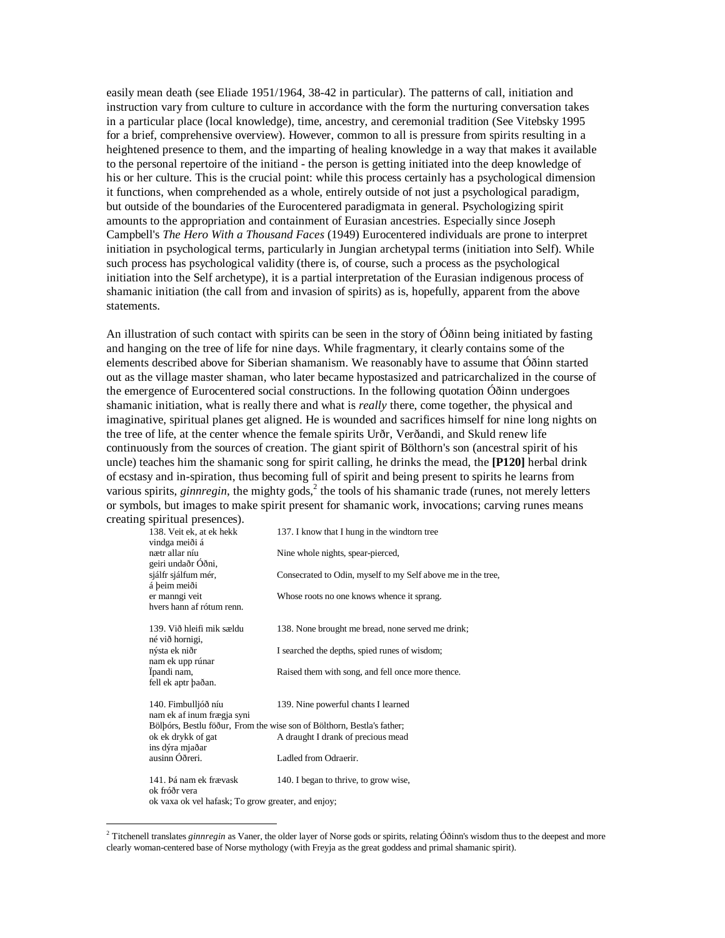easily mean death (see Eliade 1951/1964, 38-42 in particular). The patterns of call, initiation and instruction vary from culture to culture in accordance with the form the nurturing conversation takes in a particular place (local knowledge), time, ancestry, and ceremonial tradition (See Vitebsky 1995 for a brief, comprehensive overview). However, common to all is pressure from spirits resulting in a heightened presence to them, and the imparting of healing knowledge in a way that makes it available to the personal repertoire of the initiand - the person is getting initiated into the deep knowledge of his or her culture. This is the crucial point: while this process certainly has a psychological dimension it functions, when comprehended as a whole, entirely outside of not just a psychological paradigm, but outside of the boundaries of the Eurocentered paradigmata in general. Psychologizing spirit amounts to the appropriation and containment of Eurasian ancestries. Especially since Joseph Campbell's *The Hero With a Thousand Faces* (1949) Eurocentered individuals are prone to interpret initiation in psychological terms, particularly in Jungian archetypal terms (initiation into Self). While such process has psychological validity (there is, of course, such a process as the psychological initiation into the Self archetype), it is a partial interpretation of the Eurasian indigenous process of shamanic initiation (the call from and invasion of spirits) as is, hopefully, apparent from the above statements.

An illustration of such contact with spirits can be seen in the story of Óðinn being initiated by fasting and hanging on the tree of life for nine days. While fragmentary, it clearly contains some of the elements described above for Siberian shamanism. We reasonably have to assume that Óðinn started out as the village master shaman, who later became hypostasized and patricarchalized in the course of the emergence of Eurocentered social constructions. In the following quotation Óðinn undergoes shamanic initiation, what is really there and what is *really* there, come together, the physical and imaginative, spiritual planes get aligned. He is wounded and sacrifices himself for nine long nights on the tree of life, at the center whence the female spirits Urðr, Verðandi, and Skuld renew life continuously from the sources of creation. The giant spirit of Bölthorn's son (ancestral spirit of his uncle) teaches him the shamanic song for spirit calling, he drinks the mead, the **[P120]** herbal drink of ecstasy and in-spiration, thus becoming full of spirit and being present to spirits he learns from various spirits, *ginnregin*, the mighty gods,<sup>2</sup> the tools of his shamanic trade (runes, not merely letters or symbols, but images to make spirit present for shamanic work, invocations; carving runes means creating spiritual presences).

|                | 138. Veit ek, at ek hekk                           | 137. I know that I hung in the windtorn tree                           |  |  |  |  |  |
|----------------|----------------------------------------------------|------------------------------------------------------------------------|--|--|--|--|--|
|                | vindga meiði á                                     |                                                                        |  |  |  |  |  |
| nætr allar níu |                                                    | Nine whole nights, spear-pierced,                                      |  |  |  |  |  |
|                | geiri undaðr Óðni,                                 |                                                                        |  |  |  |  |  |
|                | sjálfr sjálfum mér,                                | Consecrated to Odin, myself to my Self above me in the tree,           |  |  |  |  |  |
|                | á þeim meiði                                       |                                                                        |  |  |  |  |  |
|                | er manngi veit                                     | Whose roots no one knows whence it sprang.                             |  |  |  |  |  |
|                | hvers hann af rótum renn.                          |                                                                        |  |  |  |  |  |
|                |                                                    |                                                                        |  |  |  |  |  |
|                | 139. Við hleifi mik sældu                          | 138. None brought me bread, none served me drink;                      |  |  |  |  |  |
|                | né við hornigi,                                    |                                                                        |  |  |  |  |  |
|                | nýsta ek niðr                                      | I searched the depths, spied runes of wisdom;                          |  |  |  |  |  |
|                | nam ek upp rúnar                                   |                                                                        |  |  |  |  |  |
|                | Tpandi nam,                                        | Raised them with song, and fell once more thence.                      |  |  |  |  |  |
|                | fell ek aptr baðan.                                |                                                                        |  |  |  |  |  |
|                |                                                    |                                                                        |  |  |  |  |  |
|                | 140. Fimbulljóð níu                                | 139. Nine powerful chants I learned                                    |  |  |  |  |  |
|                | nam ek af inum frægja syni                         |                                                                        |  |  |  |  |  |
|                |                                                    | Bölþórs, Bestlu föður, From the wise son of Bölthorn, Bestla's father; |  |  |  |  |  |
|                | ok ek drykk of gat                                 | A draught I drank of precious mead                                     |  |  |  |  |  |
|                | ins dýra mjaðar                                    |                                                                        |  |  |  |  |  |
|                | ausinn Óðreri.                                     | Ladled from Odraerir.                                                  |  |  |  |  |  |
|                | 141. Þá nam ek frævask                             |                                                                        |  |  |  |  |  |
|                | ok fróðr vera                                      | 140. I began to thrive, to grow wise,                                  |  |  |  |  |  |
|                |                                                    |                                                                        |  |  |  |  |  |
|                | ok vaxa ok vel hafask; To grow greater, and enjoy; |                                                                        |  |  |  |  |  |

<sup>2</sup> Titchenell translates *ginnregin* as Vaner, the older layer of Norse gods or spirits, relating Óðinn's wisdom thus to the deepest and more clearly woman-centered base of Norse mythology (with Freyja as the great goddess and primal shamanic spirit).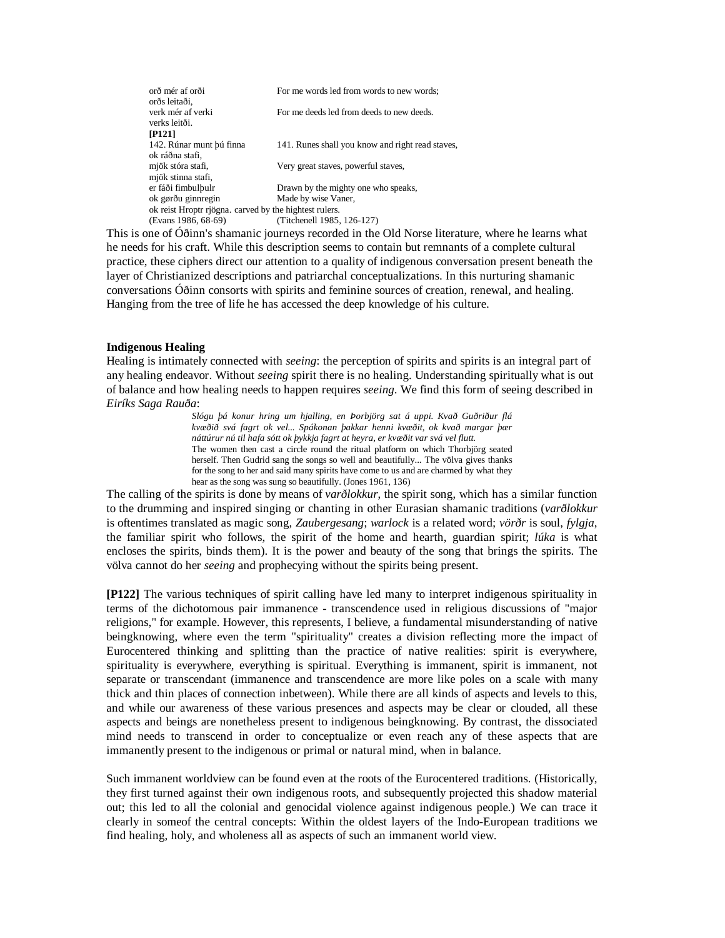|                                                        | orð mér af orði          | For me words led from words to new words;        |  |  |  |
|--------------------------------------------------------|--------------------------|--------------------------------------------------|--|--|--|
|                                                        | orðs leitaði,            |                                                  |  |  |  |
|                                                        | verk mér af verki        | For me deeds led from deeds to new deeds.        |  |  |  |
|                                                        | verks leitði.            |                                                  |  |  |  |
|                                                        | $[$ P121]                |                                                  |  |  |  |
|                                                        | 142. Rúnar munt bú finna | 141. Runes shall you know and right read staves, |  |  |  |
|                                                        | ok ráðna stafi,          |                                                  |  |  |  |
|                                                        | mjök stóra stafi,        | Very great staves, powerful staves,              |  |  |  |
|                                                        | mjök stinna stafi,       |                                                  |  |  |  |
|                                                        | er fáði fimbulþulr       | Drawn by the mighty one who speaks,              |  |  |  |
|                                                        | ok gørðu ginnregin       | Made by wise Vaner,                              |  |  |  |
| ok reist Hroptr rjögna, carved by the hightest rulers. |                          |                                                  |  |  |  |
|                                                        | (Evans 1986, 68-69)      | (Titchenell 1985, 126-127)                       |  |  |  |

This is one of Óðinn's shamanic journeys recorded in the Old Norse literature, where he learns what he needs for his craft. While this description seems to contain but remnants of a complete cultural practice, these ciphers direct our attention to a quality of indigenous conversation present beneath the layer of Christianized descriptions and patriarchal conceptualizations. In this nurturing shamanic conversations Óðinn consorts with spirits and feminine sources of creation, renewal, and healing. Hanging from the tree of life he has accessed the deep knowledge of his culture.

#### **Indigenous Healing**

Healing is intimately connected with *seeing*: the perception of spirits and spirits is an integral part of any healing endeavor. Without *seeing* spirit there is no healing. Understanding spiritually what is out of balance and how healing needs to happen requires *seeing*. We find this form of seeing described in *Eiríks Saga Rauða*:

> *Slógu þá konur hring um hjalling, en Þorbjörg sat á uppi. Kvað Guðriður flá kvæðið svá fagrt ok vel... Spákonan þakkar henni kvæðit, ok kvað margar þær náttúrur nú til hafa sótt ok þykkja fagrt at heyra, er kvæðit var svá vel flutt.* The women then cast a circle round the ritual platform on which Thorbjörg seated herself. Then Gudrid sang the songs so well and beautifully... The völva gives thanks for the song to her and said many spirits have come to us and are charmed by what they hear as the song was sung so beautifully. (Jones 1961, 136)

The calling of the spirits is done by means of *varðlokkur*, the spirit song, which has a similar function to the drumming and inspired singing or chanting in other Eurasian shamanic traditions (*varðlokkur* is oftentimes translated as magic song, *Zaubergesang*; *warlock* is a related word; *vörðr* is soul, *fylgja*, the familiar spirit who follows, the spirit of the home and hearth, guardian spirit; *lúka* is what encloses the spirits, binds them). It is the power and beauty of the song that brings the spirits. The völva cannot do her *seeing* and prophecying without the spirits being present.

**[P122]** The various techniques of spirit calling have led many to interpret indigenous spirituality in terms of the dichotomous pair immanence - transcendence used in religious discussions of "major religions," for example. However, this represents, I believe, a fundamental misunderstanding of native beingknowing, where even the term "spirituality" creates a division reflecting more the impact of Eurocentered thinking and splitting than the practice of native realities: spirit is everywhere, spirituality is everywhere, everything is spiritual. Everything is immanent, spirit is immanent, not separate or transcendant (immanence and transcendence are more like poles on a scale with many thick and thin places of connection inbetween). While there are all kinds of aspects and levels to this, and while our awareness of these various presences and aspects may be clear or clouded, all these aspects and beings are nonetheless present to indigenous beingknowing. By contrast, the dissociated mind needs to transcend in order to conceptualize or even reach any of these aspects that are immanently present to the indigenous or primal or natural mind, when in balance.

Such immanent worldview can be found even at the roots of the Eurocentered traditions. (Historically, they first turned against their own indigenous roots, and subsequently projected this shadow material out; this led to all the colonial and genocidal violence against indigenous people.) We can trace it clearly in someof the central concepts: Within the oldest layers of the Indo-European traditions we find healing, holy, and wholeness all as aspects of such an immanent world view.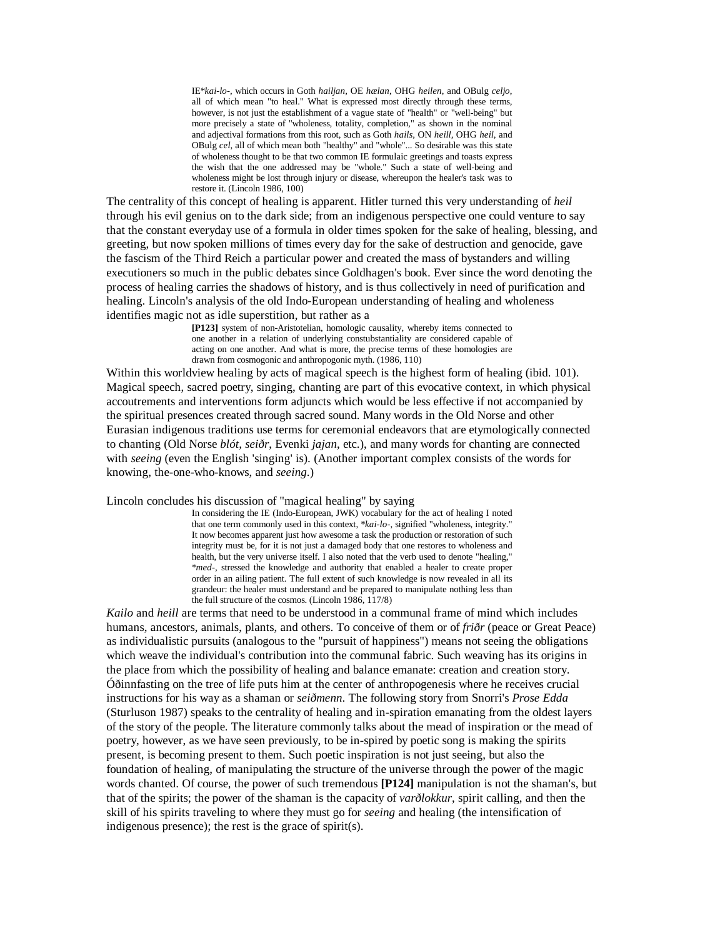IE\**kai-lo-*, which occurs in Goth *hailjan,* OE *hælan*, OHG *heilen*, and OBulg *celjo*, all of which mean "to heal." What is expressed most directly through these terms, however, is not just the establishment of a vague state of "health" or "well-being" but more precisely a state of "wholeness, totality, completion," as shown in the nominal and adjectival formations from this root, such as Goth *hails*, ON *heill,* OHG *heil*, and OBulg *cel*, all of which mean both "healthy" and "whole"... So desirable was this state of wholeness thought to be that two common IE formulaic greetings and toasts express the wish that the one addressed may be "whole." Such a state of well-being and wholeness might be lost through injury or disease, whereupon the healer's task was to restore it. (Lincoln 1986, 100)

The centrality of this concept of healing is apparent. Hitler turned this very understanding of *heil*  through his evil genius on to the dark side; from an indigenous perspective one could venture to say that the constant everyday use of a formula in older times spoken for the sake of healing, blessing, and greeting, but now spoken millions of times every day for the sake of destruction and genocide, gave the fascism of the Third Reich a particular power and created the mass of bystanders and willing executioners so much in the public debates since Goldhagen's book. Ever since the word denoting the process of healing carries the shadows of history, and is thus collectively in need of purification and healing. Lincoln's analysis of the old Indo-European understanding of healing and wholeness identifies magic not as idle superstition, but rather as a

> **[P123]** system of non-Aristotelian, homologic causality, whereby items connected to one another in a relation of underlying constubstantiality are considered capable of acting on one another. And what is more, the precise terms of these homologies are drawn from cosmogonic and anthropogonic myth. (1986, 110)

Within this worldview healing by acts of magical speech is the highest form of healing (ibid. 101). Magical speech, sacred poetry, singing, chanting are part of this evocative context, in which physical accoutrements and interventions form adjuncts which would be less effective if not accompanied by the spiritual presences created through sacred sound. Many words in the Old Norse and other Eurasian indigenous traditions use terms for ceremonial endeavors that are etymologically connected to chanting (Old Norse *blót, seiðr*, Evenki *jajan*, etc.), and many words for chanting are connected with *seeing* (even the English 'singing' is). (Another important complex consists of the words for knowing, the-one-who-knows, and *seeing*.)

Lincoln concludes his discussion of "magical healing" by saying

In considering the IE (Indo-European, JWK) vocabulary for the act of healing I noted that one term commonly used in this context, \**kai-lo-*, signified "wholeness, integrity." It now becomes apparent just how awesome a task the production or restoration of such integrity must be, for it is not just a damaged body that one restores to wholeness and health, but the very universe itself. I also noted that the verb used to denote "healing," \**med-*, stressed the knowledge and authority that enabled a healer to create proper order in an ailing patient. The full extent of such knowledge is now revealed in all its grandeur: the healer must understand and be prepared to manipulate nothing less than the full structure of the cosmos. (Lincoln 1986, 117/8)

*Kailo* and *heill* are terms that need to be understood in a communal frame of mind which includes humans, ancestors, animals, plants, and others. To conceive of them or of *friðr* (peace or Great Peace) as individualistic pursuits (analogous to the "pursuit of happiness") means not seeing the obligations which weave the individual's contribution into the communal fabric. Such weaving has its origins in the place from which the possibility of healing and balance emanate: creation and creation story. Óðinnfasting on the tree of life puts him at the center of anthropogenesis where he receives crucial instructions for his way as a shaman or *seiðmenn*. The following story from Snorri's *Prose Edda* (Sturluson 1987) speaks to the centrality of healing and in-spiration emanating from the oldest layers of the story of the people. The literature commonly talks about the mead of inspiration or the mead of poetry, however, as we have seen previously, to be in-spired by poetic song is making the spirits present, is becoming present to them. Such poetic inspiration is not just seeing, but also the foundation of healing, of manipulating the structure of the universe through the power of the magic words chanted. Of course, the power of such tremendous **[P124]** manipulation is not the shaman's, but that of the spirits; the power of the shaman is the capacity of *varðlokkur*, spirit calling, and then the skill of his spirits traveling to where they must go for *seeing* and healing (the intensification of indigenous presence); the rest is the grace of spirit(s).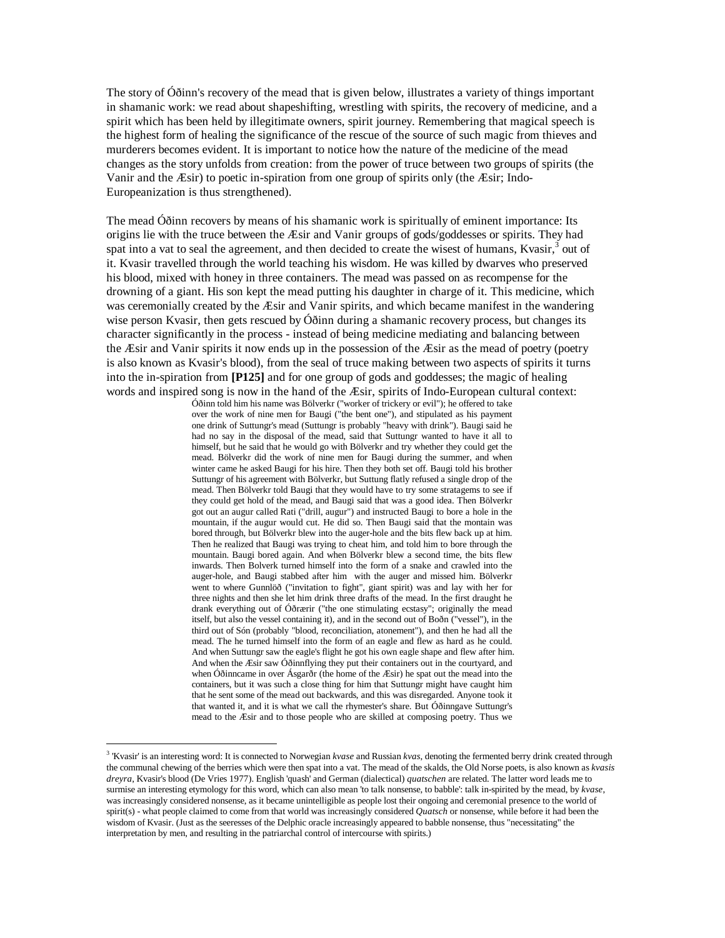The story of Óðinn's recovery of the mead that is given below, illustrates a variety of things important in shamanic work: we read about shapeshifting, wrestling with spirits, the recovery of medicine, and a spirit which has been held by illegitimate owners, spirit journey. Remembering that magical speech is the highest form of healing the significance of the rescue of the source of such magic from thieves and murderers becomes evident. It is important to notice how the nature of the medicine of the mead changes as the story unfolds from creation: from the power of truce between two groups of spirits (the Vanir and the Æsir) to poetic in-spiration from one group of spirits only (the Æsir; Indo-Europeanization is thus strengthened).

The mead Óðinn recovers by means of his shamanic work is spiritually of eminent importance: Its origins lie with the truce between the Æsir and Vanir groups of gods/goddesses or spirits. They had spat into a vat to seal the agreement, and then decided to create the wisest of humans, Kvasir,  $\frac{3}{2}$  out of it. Kvasir travelled through the world teaching his wisdom. He was killed by dwarves who preserved his blood, mixed with honey in three containers. The mead was passed on as recompense for the drowning of a giant. His son kept the mead putting his daughter in charge of it. This medicine, which was ceremonially created by the Æsir and Vanir spirits, and which became manifest in the wandering wise person Kvasir, then gets rescued by Óðinn during a shamanic recovery process, but changes its character significantly in the process - instead of being medicine mediating and balancing between the Æsir and Vanir spirits it now ends up in the possession of the Æsir as the mead of poetry (poetry is also known as Kvasir's blood), from the seal of truce making between two aspects of spirits it turns into the in-spiration from **[P125]** and for one group of gods and goddesses; the magic of healing words and inspired song is now in the hand of the Æsir, spirits of Indo-European cultural context:

Óðinn told him his name was Bölverkr ("worker of trickery or evil"); he offered to take over the work of nine men for Baugi ("the bent one"), and stipulated as his payment one drink of Suttungr's mead (Suttungr is probably "heavy with drink"). Baugi said he had no say in the disposal of the mead, said that Suttungr wanted to have it all to himself, but he said that he would go with Bölverkr and try whether they could get the mead. Bölverkr did the work of nine men for Baugi during the summer, and when winter came he asked Baugi for his hire. Then they both set off. Baugi told his brother Suttungr of his agreement with Bölverkr, but Suttung flatly refused a single drop of the mead. Then Bölverkr told Baugi that they would have to try some stratagems to see if they could get hold of the mead, and Baugi said that was a good idea. Then Bölverkr got out an augur called Rati ("drill, augur") and instructed Baugi to bore a hole in the mountain, if the augur would cut. He did so. Then Baugi said that the montain was bored through, but Bölverkr blew into the auger-hole and the bits flew back up at him. Then he realized that Baugi was trying to cheat him, and told him to bore through the mountain. Baugi bored again. And when Bölverkr blew a second time, the bits flew inwards. Then Bolverk turned himself into the form of a snake and crawled into the auger-hole, and Baugi stabbed after him with the auger and missed him. Bölverkr went to where Gunnlöð ("invitation to fight", giant spirit) was and lay with her for three nights and then she let him drink three drafts of the mead. In the first draught he drank everything out of Óðrærir ("the one stimulating ecstasy"; originally the mead itself, but also the vessel containing it), and in the second out of Boðn ("vessel"), in the third out of Són (probably "blood, reconciliation, atonement"), and then he had all the mead. The he turned himself into the form of an eagle and flew as hard as he could. And when Suttungr saw the eagle's flight he got his own eagle shape and flew after him. And when the Æsir saw Óðinnflying they put their containers out in the courtyard, and when Óðinncame in over Ásgarðr (the home of the Æsir) he spat out the mead into the containers, but it was such a close thing for him that Suttungr might have caught him that he sent some of the mead out backwards, and this was disregarded. Anyone took it that wanted it, and it is what we call the rhymester's share. But Óðinngave Suttungr's mead to the Æsir and to those people who are skilled at composing poetry. Thus we

<sup>3</sup> 'Kvasir' is an interesting word: It is connected to Norwegian *kvase* and Russian *kvas*, denoting the fermented berry drink created through the communal chewing of the berries which were then spat into a vat. The mead of the skalds, the Old Norse poets, is also known as *kvasis dreyra*, Kvasir's blood (De Vries 1977). English 'quash' and German (dialectical) *quatschen* are related. The latter word leads me to surmise an interesting etymology for this word, which can also mean 'to talk nonsense, to babble': talk in-spirited by the mead, by *kvase*, was increasingly considered nonsense, as it became unintelligible as people lost their ongoing and ceremonial presence to the world of spirit(s) - what people claimed to come from that world was increasingly considered *Quatsch* or nonsense, while before it had been the wisdom of Kvasir. (Just as the seeresses of the Delphic oracle increasingly appeared to babble nonsense, thus "necessitating" the interpretation by men, and resulting in the patriarchal control of intercourse with spirits.)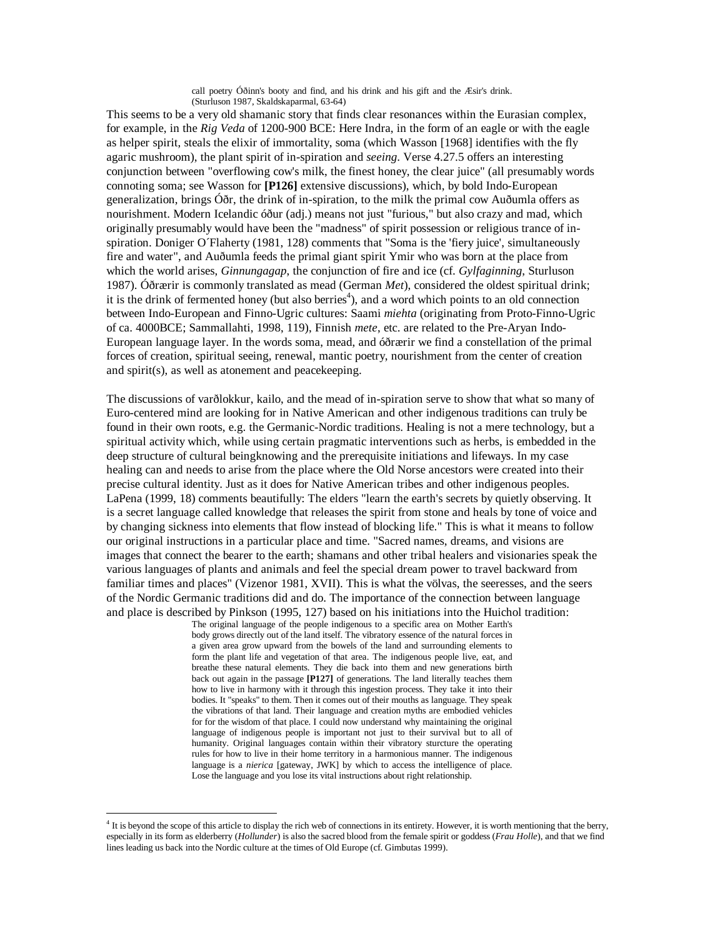call poetry Óðinn's booty and find, and his drink and his gift and the Æsir's drink. (Sturluson 1987, Skaldskaparmal, 63-64)

This seems to be a very old shamanic story that finds clear resonances within the Eurasian complex, for example, in the *Rig Veda* of 1200-900 BCE: Here Indra, in the form of an eagle or with the eagle as helper spirit, steals the elixir of immortality, soma (which Wasson [1968] identifies with the fly agaric mushroom), the plant spirit of in-spiration and *seeing*. Verse 4.27.5 offers an interesting conjunction between "overflowing cow's milk, the finest honey, the clear juice" (all presumably words connoting soma; see Wasson for **[P126]** extensive discussions), which, by bold Indo-European generalization, brings Óðr, the drink of in-spiration, to the milk the primal cow Auðumla offers as nourishment. Modern Icelandic óður (adj.) means not just "furious," but also crazy and mad, which originally presumably would have been the "madness" of spirit possession or religious trance of inspiration. Doniger O´Flaherty (1981, 128) comments that "Soma is the 'fiery juice', simultaneously fire and water", and Auðumla feeds the primal giant spirit Ymir who was born at the place from which the world arises, *Ginnungagap*, the conjunction of fire and ice (cf. *Gylfaginning*, Sturluson 1987). Óðrærir is commonly translated as mead (German *Met*), considered the oldest spiritual drink; it is the drink of fermented honey (but also berries<sup>4</sup>), and a word which points to an old connection between Indo-European and Finno-Ugric cultures: Saami *miehta* (originating from Proto-Finno-Ugric of ca. 4000BCE; Sammallahti, 1998, 119), Finnish *mete*, etc. are related to the Pre-Aryan Indo-European language layer. In the words soma, mead, and óðrærir we find a constellation of the primal forces of creation, spiritual seeing, renewal, mantic poetry, nourishment from the center of creation and spirit(s), as well as atonement and peacekeeping.

The discussions of varðlokkur, kailo, and the mead of in-spiration serve to show that what so many of Euro-centered mind are looking for in Native American and other indigenous traditions can truly be found in their own roots, e.g. the Germanic-Nordic traditions. Healing is not a mere technology, but a spiritual activity which, while using certain pragmatic interventions such as herbs, is embedded in the deep structure of cultural beingknowing and the prerequisite initiations and lifeways. In my case healing can and needs to arise from the place where the Old Norse ancestors were created into their precise cultural identity. Just as it does for Native American tribes and other indigenous peoples. LaPena (1999, 18) comments beautifully: The elders "learn the earth's secrets by quietly observing. It is a secret language called knowledge that releases the spirit from stone and heals by tone of voice and by changing sickness into elements that flow instead of blocking life." This is what it means to follow our original instructions in a particular place and time. "Sacred names, dreams, and visions are images that connect the bearer to the earth; shamans and other tribal healers and visionaries speak the various languages of plants and animals and feel the special dream power to travel backward from familiar times and places" (Vizenor 1981, XVII). This is what the völvas, the seeresses, and the seers of the Nordic Germanic traditions did and do. The importance of the connection between language and place is described by Pinkson (1995, 127) based on his initiations into the Huichol tradition:

The original language of the people indigenous to a specific area on Mother Earth's body grows directly out of the land itself. The vibratory essence of the natural forces in a given area grow upward from the bowels of the land and surrounding elements to form the plant life and vegetation of that area. The indigenous people live, eat, and breathe these natural elements. They die back into them and new generations birth back out again in the passage **[P127]** of generations. The land literally teaches them how to live in harmony with it through this ingestion process. They take it into their bodies. It "speaks" to them. Then it comes out of their mouths as language. They speak the vibrations of that land. Their language and creation myths are embodied vehicles for for the wisdom of that place. I could now understand why maintaining the original language of indigenous people is important not just to their survival but to all of humanity. Original languages contain within their vibratory sturcture the operating rules for how to live in their home territory in a harmonious manner. The indigenous language is a *nierica* [gateway, JWK] by which to access the intelligence of place. Lose the language and you lose its vital instructions about right relationship.

<sup>&</sup>lt;sup>4</sup> It is beyond the scope of this article to display the rich web of connections in its entirety. However, it is worth mentioning that the berry, especially in its form as elderberry (*Hollunder*) is also the sacred blood from the female spirit or goddess (*Frau Holle*), and that we find lines leading us back into the Nordic culture at the times of Old Europe (cf. Gimbutas 1999).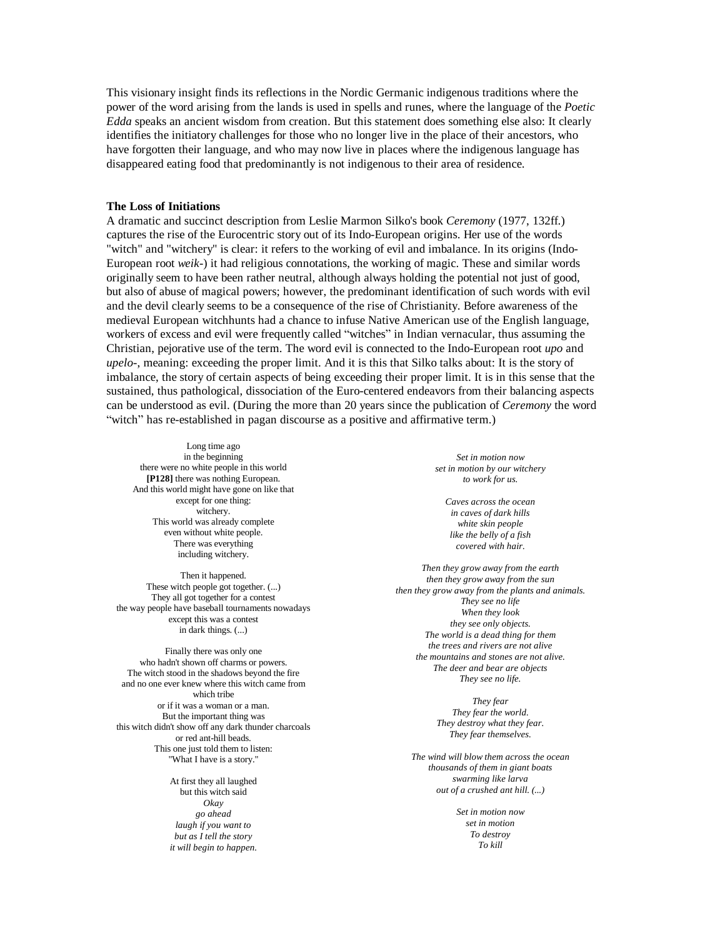This visionary insight finds its reflections in the Nordic Germanic indigenous traditions where the power of the word arising from the lands is used in spells and runes, where the language of the *Poetic Edda* speaks an ancient wisdom from creation. But this statement does something else also: It clearly identifies the initiatory challenges for those who no longer live in the place of their ancestors, who have forgotten their language, and who may now live in places where the indigenous language has disappeared eating food that predominantly is not indigenous to their area of residence.

#### **The Loss of Initiations**

A dramatic and succinct description from Leslie Marmon Silko's book *Ceremony* (1977, 132ff.) captures the rise of the Eurocentric story out of its Indo-European origins. Her use of the words "witch" and "witchery" is clear: it refers to the working of evil and imbalance. In its origins (Indo-European root *weik-*) it had religious connotations, the working of magic. These and similar words originally seem to have been rather neutral, although always holding the potential not just of good, but also of abuse of magical powers; however, the predominant identification of such words with evil and the devil clearly seems to be a consequence of the rise of Christianity. Before awareness of the medieval European witchhunts had a chance to infuse Native American use of the English language, workers of excess and evil were frequently called "witches" in Indian vernacular, thus assuming the Christian, pejorative use of the term. The word evil is connected to the Indo-European root *upo* and *upelo-*, meaning: exceeding the proper limit. And it is this that Silko talks about: It is the story of imbalance, the story of certain aspects of being exceeding their proper limit. It is in this sense that the sustained, thus pathological, dissociation of the Euro-centered endeavors from their balancing aspects can be understood as evil. (During the more than 20 years since the publication of *Ceremony* the word "witch" has re-established in pagan discourse as a positive and affirmative term.)

Long time ago in the beginning there were no white people in this world **[P128]** there was nothing European. And this world might have gone on like that except for one thing: witchery. This world was already complete even without white people. There was everything including witchery.

Then it happened. These witch people got together. (...) They all got together for a contest the way people have baseball tournaments nowadays except this was a contest in dark things. (...)

Finally there was only one who hadn't shown off charms or powers. The witch stood in the shadows beyond the fire and no one ever knew where this witch came from which tribe or if it was a woman or a man. But the important thing was this witch didn't show off any dark thunder charcoals or red ant-hill beads. This one just told them to listen: "What I have is a story."

> At first they all laughed but this witch said *Okay go ahead laugh if you want to but as I tell the story it will begin to happen.*

*Set in motion now set in motion by our witchery to work for us.*

*Caves across the ocean in caves of dark hills white skin people like the belly of a fish covered with hair.*

*Then they grow away from the earth then they grow away from the sun then they grow away from the plants and animals. They see no life When they look they see only objects. The world is a dead thing for them the trees and rivers are not alive the mountains and stones are not alive. The deer and bear are objects They see no life.*

> *They fear They fear the world. They destroy what they fear. They fear themselves.*

*The wind will blow them across the ocean thousands of them in giant boats swarming like larva out of a crushed ant hill. (...)*

> *Set in motion now set in motion To destroy To kill*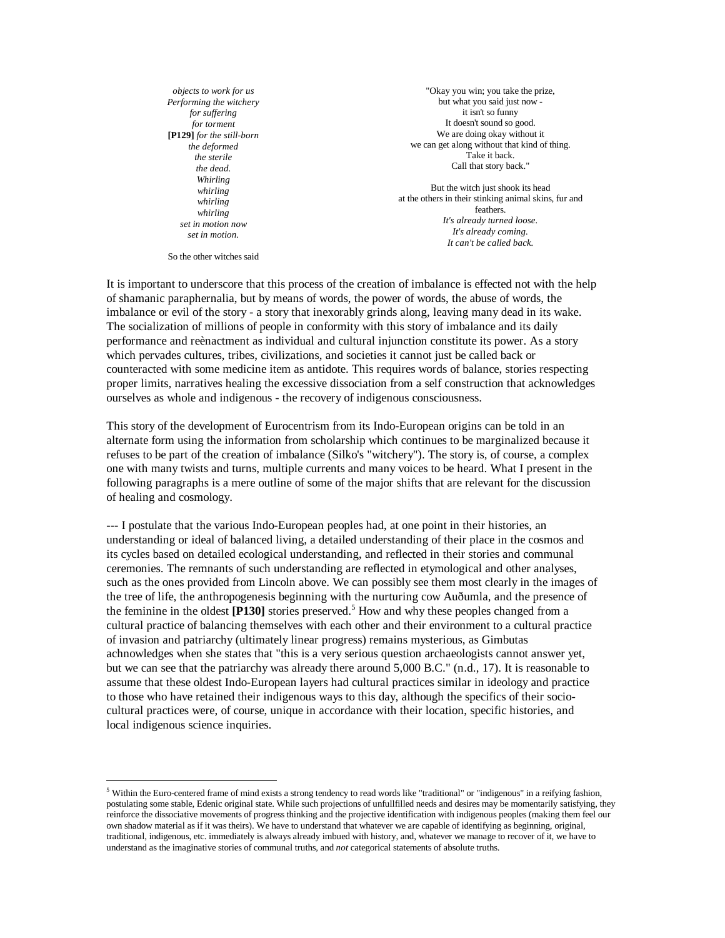*objects to work for us Performing the witchery for suffering for torment* **[P129]** *for the still-born the deformed the sterile the dead. Whirling whirling whirling whirling set in motion now set in motion.*

"Okay you win; you take the prize, but what you said just now it isn't so funny It doesn't sound so good. We are doing okay without it we can get along without that kind of thing. Take it back. Call that story back."

But the witch just shook its head at the others in their stinking animal skins, fur and feathers. *It's already turned loose. It's already coming. It can't be called back.*

So the other witches said

It is important to underscore that this process of the creation of imbalance is effected not with the help of shamanic paraphernalia, but by means of words, the power of words, the abuse of words, the imbalance or evil of the story - a story that inexorably grinds along, leaving many dead in its wake. The socialization of millions of people in conformity with this story of imbalance and its daily performance and reènactment as individual and cultural injunction constitute its power. As a story which pervades cultures, tribes, civilizations, and societies it cannot just be called back or counteracted with some medicine item as antidote. This requires words of balance, stories respecting proper limits, narratives healing the excessive dissociation from a self construction that acknowledges ourselves as whole and indigenous - the recovery of indigenous consciousness.

This story of the development of Eurocentrism from its Indo-European origins can be told in an alternate form using the information from scholarship which continues to be marginalized because it refuses to be part of the creation of imbalance (Silko's "witchery"). The story is, of course, a complex one with many twists and turns, multiple currents and many voices to be heard. What I present in the following paragraphs is a mere outline of some of the major shifts that are relevant for the discussion of healing and cosmology.

--- I postulate that the various Indo-European peoples had, at one point in their histories, an understanding or ideal of balanced living, a detailed understanding of their place in the cosmos and its cycles based on detailed ecological understanding, and reflected in their stories and communal ceremonies. The remnants of such understanding are reflected in etymological and other analyses, such as the ones provided from Lincoln above. We can possibly see them most clearly in the images of the tree of life, the anthropogenesis beginning with the nurturing cow Auðumla, and the presence of the feminine in the oldest [P130] stories preserved.<sup>5</sup> How and why these peoples changed from a cultural practice of balancing themselves with each other and their environment to a cultural practice of invasion and patriarchy (ultimately linear progress) remains mysterious, as Gimbutas achnowledges when she states that "this is a very serious question archaeologists cannot answer yet, but we can see that the patriarchy was already there around 5,000 B.C." (n.d., 17). It is reasonable to assume that these oldest Indo-European layers had cultural practices similar in ideology and practice to those who have retained their indigenous ways to this day, although the specifics of their sociocultural practices were, of course, unique in accordance with their location, specific histories, and local indigenous science inquiries.

 $5$  Within the Euro-centered frame of mind exists a strong tendency to read words like "traditional" or "indigenous" in a reifying fashion, postulating some stable, Edenic original state. While such projections of unfullfilled needs and desires may be momentarily satisfying, they reinforce the dissociative movements of progress thinking and the projective identification with indigenous peoples (making them feel our own shadow material as if it was theirs). We have to understand that whatever we are capable of identifying as beginning, original, traditional, indigenous, etc. immediately is always already imbued with history, and, whatever we manage to recover of it, we have to understand as the imaginative stories of communal truths, and *not* categorical statements of absolute truths.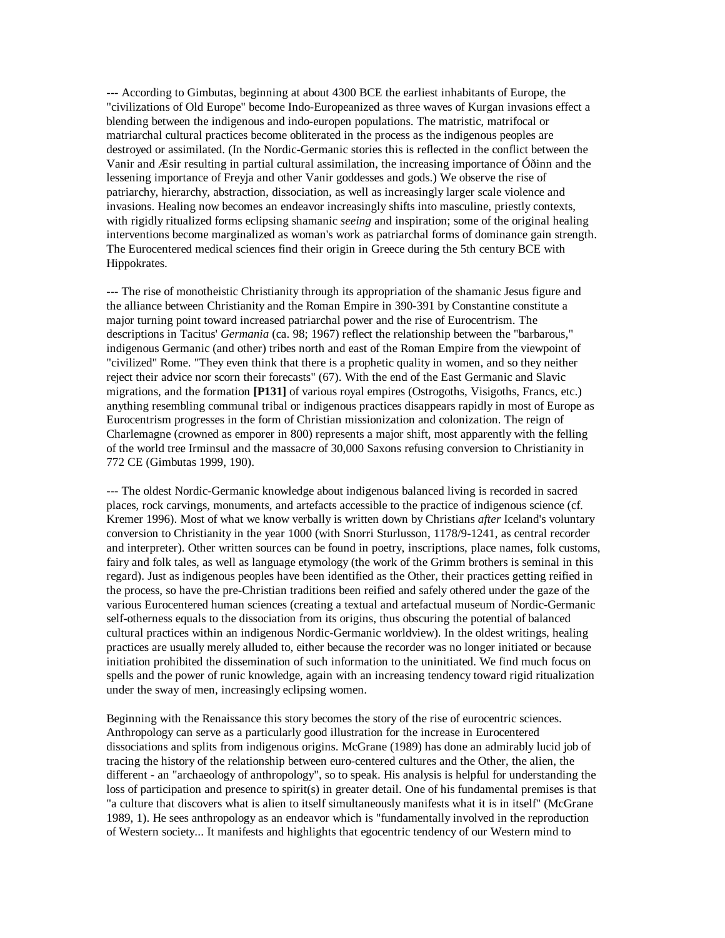--- According to Gimbutas, beginning at about 4300 BCE the earliest inhabitants of Europe, the "civilizations of Old Europe" become Indo-Europeanized as three waves of Kurgan invasions effect a blending between the indigenous and indo-europen populations. The matristic, matrifocal or matriarchal cultural practices become obliterated in the process as the indigenous peoples are destroyed or assimilated. (In the Nordic-Germanic stories this is reflected in the conflict between the Vanir and Æsir resulting in partial cultural assimilation, the increasing importance of Óðinn and the lessening importance of Freyja and other Vanir goddesses and gods.) We observe the rise of patriarchy, hierarchy, abstraction, dissociation, as well as increasingly larger scale violence and invasions. Healing now becomes an endeavor increasingly shifts into masculine, priestly contexts, with rigidly ritualized forms eclipsing shamanic *seeing* and inspiration; some of the original healing interventions become marginalized as woman's work as patriarchal forms of dominance gain strength. The Eurocentered medical sciences find their origin in Greece during the 5th century BCE with Hippokrates.

--- The rise of monotheistic Christianity through its appropriation of the shamanic Jesus figure and the alliance between Christianity and the Roman Empire in 390-391 by Constantine constitute a major turning point toward increased patriarchal power and the rise of Eurocentrism. The descriptions in Tacitus' *Germania* (ca. 98; 1967) reflect the relationship between the "barbarous," indigenous Germanic (and other) tribes north and east of the Roman Empire from the viewpoint of "civilized" Rome. "They even think that there is a prophetic quality in women, and so they neither reject their advice nor scorn their forecasts" (67). With the end of the East Germanic and Slavic migrations, and the formation **[P131]** of various royal empires (Ostrogoths, Visigoths, Francs, etc.) anything resembling communal tribal or indigenous practices disappears rapidly in most of Europe as Eurocentrism progresses in the form of Christian missionization and colonization. The reign of Charlemagne (crowned as emporer in 800) represents a major shift, most apparently with the felling of the world tree Irminsul and the massacre of 30,000 Saxons refusing conversion to Christianity in 772 CE (Gimbutas 1999, 190).

--- The oldest Nordic-Germanic knowledge about indigenous balanced living is recorded in sacred places, rock carvings, monuments, and artefacts accessible to the practice of indigenous science (cf. Kremer 1996). Most of what we know verbally is written down by Christians *after* Iceland's voluntary conversion to Christianity in the year 1000 (with Snorri Sturlusson, 1178/9-1241, as central recorder and interpreter). Other written sources can be found in poetry, inscriptions, place names, folk customs, fairy and folk tales, as well as language etymology (the work of the Grimm brothers is seminal in this regard). Just as indigenous peoples have been identified as the Other, their practices getting reified in the process, so have the pre-Christian traditions been reified and safely othered under the gaze of the various Eurocentered human sciences (creating a textual and artefactual museum of Nordic-Germanic self-otherness equals to the dissociation from its origins, thus obscuring the potential of balanced cultural practices within an indigenous Nordic-Germanic worldview). In the oldest writings, healing practices are usually merely alluded to, either because the recorder was no longer initiated or because initiation prohibited the dissemination of such information to the uninitiated. We find much focus on spells and the power of runic knowledge, again with an increasing tendency toward rigid ritualization under the sway of men, increasingly eclipsing women.

Beginning with the Renaissance this story becomes the story of the rise of eurocentric sciences. Anthropology can serve as a particularly good illustration for the increase in Eurocentered dissociations and splits from indigenous origins. McGrane (1989) has done an admirably lucid job of tracing the history of the relationship between euro-centered cultures and the Other, the alien, the different - an "archaeology of anthropology", so to speak. His analysis is helpful for understanding the loss of participation and presence to spirit(s) in greater detail. One of his fundamental premises is that "a culture that discovers what is alien to itself simultaneously manifests what it is in itself" (McGrane 1989, 1). He sees anthropology as an endeavor which is "fundamentally involved in the reproduction of Western society... It manifests and highlights that egocentric tendency of our Western mind to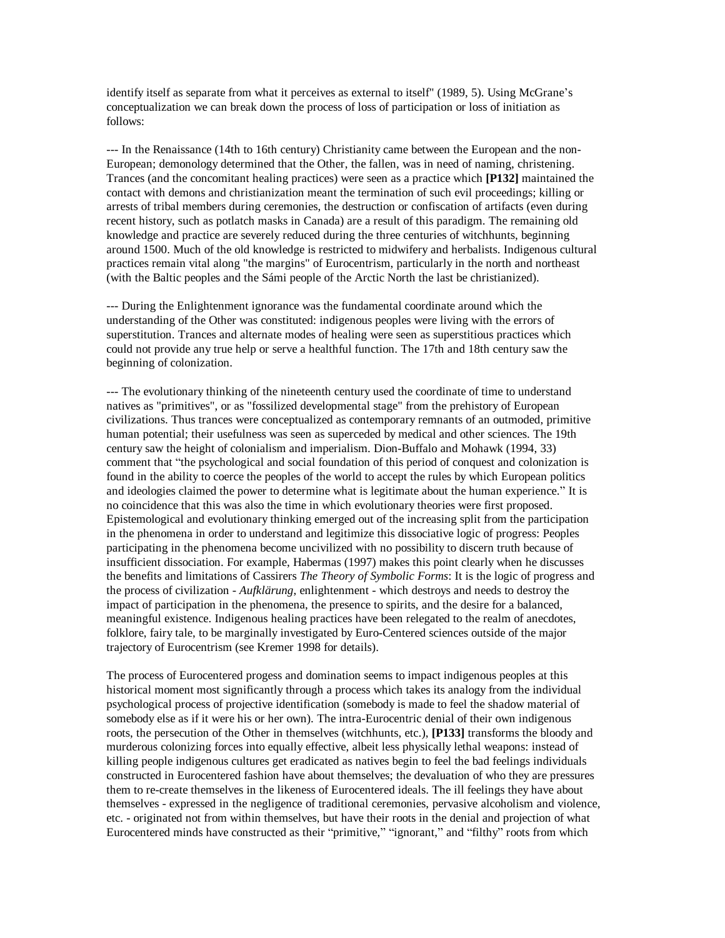identify itself as separate from what it perceives as external to itself" (1989, 5). Using McGrane's conceptualization we can break down the process of loss of participation or loss of initiation as follows:

--- In the Renaissance (14th to 16th century) Christianity came between the European and the non-European; demonology determined that the Other, the fallen, was in need of naming, christening. Trances (and the concomitant healing practices) were seen as a practice which **[P132]** maintained the contact with demons and christianization meant the termination of such evil proceedings; killing or arrests of tribal members during ceremonies, the destruction or confiscation of artifacts (even during recent history, such as potlatch masks in Canada) are a result of this paradigm. The remaining old knowledge and practice are severely reduced during the three centuries of witchhunts, beginning around 1500. Much of the old knowledge is restricted to midwifery and herbalists. Indigenous cultural practices remain vital along "the margins" of Eurocentrism, particularly in the north and northeast (with the Baltic peoples and the Sámi people of the Arctic North the last be christianized).

--- During the Enlightenment ignorance was the fundamental coordinate around which the understanding of the Other was constituted: indigenous peoples were living with the errors of superstitution. Trances and alternate modes of healing were seen as superstitious practices which could not provide any true help or serve a healthful function. The 17th and 18th century saw the beginning of colonization.

--- The evolutionary thinking of the nineteenth century used the coordinate of time to understand natives as "primitives", or as "fossilized developmental stage" from the prehistory of European civilizations. Thus trances were conceptualized as contemporary remnants of an outmoded, primitive human potential; their usefulness was seen as superceded by medical and other sciences. The 19th century saw the height of colonialism and imperialism. Dion-Buffalo and Mohawk (1994, 33) comment that "the psychological and social foundation of this period of conquest and colonization is found in the ability to coerce the peoples of the world to accept the rules by which European politics and ideologies claimed the power to determine what is legitimate about the human experience." It is no coincidence that this was also the time in which evolutionary theories were first proposed. Epistemological and evolutionary thinking emerged out of the increasing split from the participation in the phenomena in order to understand and legitimize this dissociative logic of progress: Peoples participating in the phenomena become uncivilized with no possibility to discern truth because of insufficient dissociation. For example, Habermas (1997) makes this point clearly when he discusses the benefits and limitations of Cassirers *The Theory of Symbolic Forms*: It is the logic of progress and the process of civilization - *Aufklärung*, enlightenment - which destroys and needs to destroy the impact of participation in the phenomena, the presence to spirits, and the desire for a balanced, meaningful existence. Indigenous healing practices have been relegated to the realm of anecdotes, folklore, fairy tale, to be marginally investigated by Euro-Centered sciences outside of the major trajectory of Eurocentrism (see Kremer 1998 for details).

The process of Eurocentered progess and domination seems to impact indigenous peoples at this historical moment most significantly through a process which takes its analogy from the individual psychological process of projective identification (somebody is made to feel the shadow material of somebody else as if it were his or her own). The intra-Eurocentric denial of their own indigenous roots, the persecution of the Other in themselves (witchhunts, etc.), **[P133]** transforms the bloody and murderous colonizing forces into equally effective, albeit less physically lethal weapons: instead of killing people indigenous cultures get eradicated as natives begin to feel the bad feelings individuals constructed in Eurocentered fashion have about themselves; the devaluation of who they are pressures them to re-create themselves in the likeness of Eurocentered ideals. The ill feelings they have about themselves - expressed in the negligence of traditional ceremonies, pervasive alcoholism and violence, etc. - originated not from within themselves, but have their roots in the denial and projection of what Eurocentered minds have constructed as their "primitive," "ignorant," and "filthy" roots from which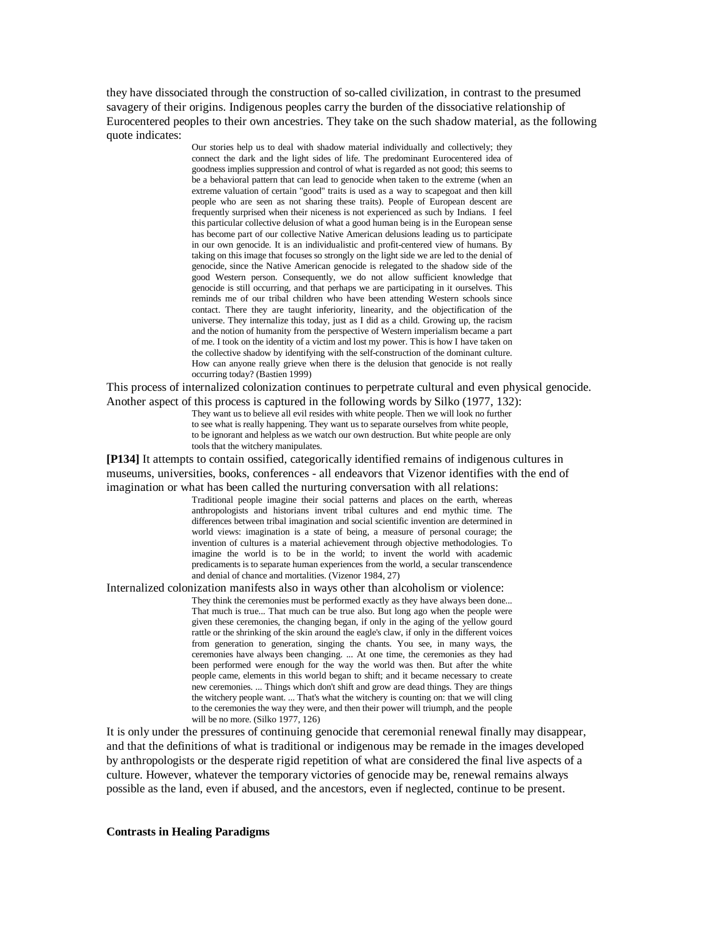they have dissociated through the construction of so-called civilization, in contrast to the presumed savagery of their origins. Indigenous peoples carry the burden of the dissociative relationship of Eurocentered peoples to their own ancestries. They take on the such shadow material, as the following quote indicates:

> Our stories help us to deal with shadow material individually and collectively; they connect the dark and the light sides of life. The predominant Eurocentered idea of goodness implies suppression and control of what is regarded as not good; this seems to be a behavioral pattern that can lead to genocide when taken to the extreme (when an extreme valuation of certain "good" traits is used as a way to scapegoat and then kill people who are seen as not sharing these traits). People of European descent are frequently surprised when their niceness is not experienced as such by Indians. I feel this particular collective delusion of what a good human being is in the European sense has become part of our collective Native American delusions leading us to participate in our own genocide. It is an individualistic and profit-centered view of humans. By taking on this image that focuses so strongly on the light side we are led to the denial of genocide, since the Native American genocide is relegated to the shadow side of the good Western person. Consequently, we do not allow sufficient knowledge that genocide is still occurring, and that perhaps we are participating in it ourselves. This reminds me of our tribal children who have been attending Western schools since contact. There they are taught inferiority, linearity, and the objectification of the universe. They internalize this today, just as I did as a child. Growing up, the racism and the notion of humanity from the perspective of Western imperialism became a part of me. I took on the identity of a victim and lost my power. This is how I have taken on the collective shadow by identifying with the self-construction of the dominant culture. How can anyone really grieve when there is the delusion that genocide is not really occurring today? (Bastien 1999)

This process of internalized colonization continues to perpetrate cultural and even physical genocide.

Another aspect of this process is captured in the following words by Silko (1977, 132): They want us to believe all evil resides with white people. Then we will look no further to see what is really happening. They want us to separate ourselves from white people, to be ignorant and helpless as we watch our own destruction. But white people are only tools that the witchery manipulates.

**[P134]** It attempts to contain ossified, categorically identified remains of indigenous cultures in museums, universities, books, conferences - all endeavors that Vizenor identifies with the end of imagination or what has been called the nurturing conversation with all relations:

> Traditional people imagine their social patterns and places on the earth, whereas anthropologists and historians invent tribal cultures and end mythic time. The differences between tribal imagination and social scientific invention are determined in world views: imagination is a state of being, a measure of personal courage; the invention of cultures is a material achievement through objective methodologies. To imagine the world is to be in the world; to invent the world with academic predicaments is to separate human experiences from the world, a secular transcendence and denial of chance and mortalities. (Vizenor 1984, 27)

Internalized colonization manifests also in ways other than alcoholism or violence:

They think the ceremonies must be performed exactly as they have always been done... That much is true... That much can be true also. But long ago when the people were given these ceremonies, the changing began, if only in the aging of the yellow gourd rattle or the shrinking of the skin around the eagle's claw, if only in the different voices from generation to generation, singing the chants. You see, in many ways, the ceremonies have always been changing. ... At one time, the ceremonies as they had been performed were enough for the way the world was then. But after the white people came, elements in this world began to shift; and it became necessary to create new ceremonies. ... Things which don't shift and grow are dead things. They are things the witchery people want. ... That's what the witchery is counting on: that we will cling to the ceremonies the way they were, and then their power will triumph, and the people will be no more. (Silko 1977, 126)

It is only under the pressures of continuing genocide that ceremonial renewal finally may disappear, and that the definitions of what is traditional or indigenous may be remade in the images developed by anthropologists or the desperate rigid repetition of what are considered the final live aspects of a culture. However, whatever the temporary victories of genocide may be, renewal remains always possible as the land, even if abused, and the ancestors, even if neglected, continue to be present.

#### **Contrasts in Healing Paradigms**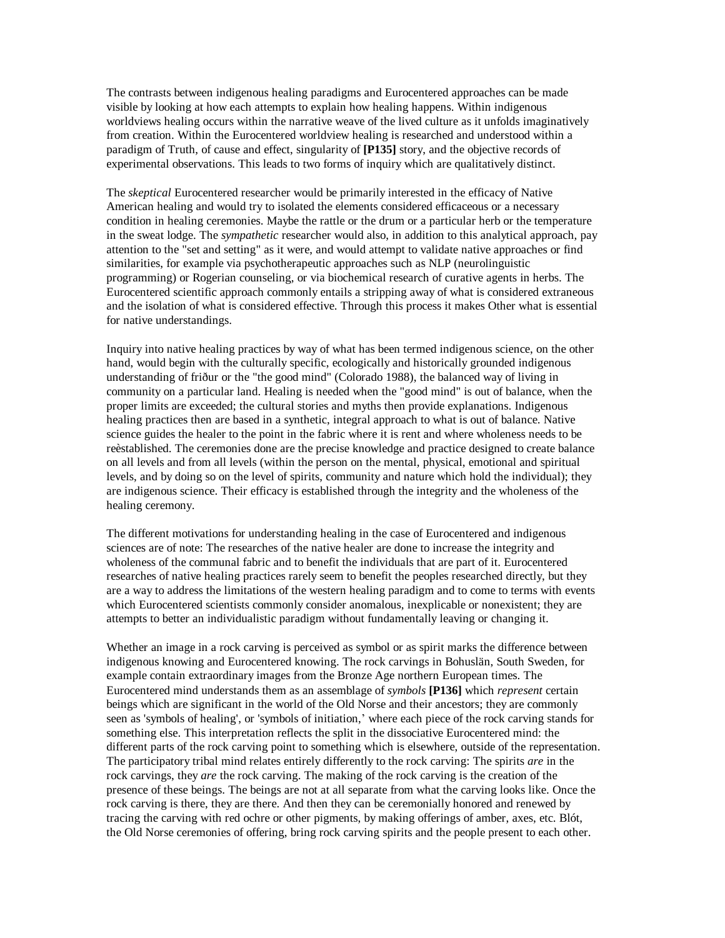The contrasts between indigenous healing paradigms and Eurocentered approaches can be made visible by looking at how each attempts to explain how healing happens. Within indigenous worldviews healing occurs within the narrative weave of the lived culture as it unfolds imaginatively from creation. Within the Eurocentered worldview healing is researched and understood within a paradigm of Truth, of cause and effect, singularity of **[P135]** story, and the objective records of experimental observations. This leads to two forms of inquiry which are qualitatively distinct.

The *skeptical* Eurocentered researcher would be primarily interested in the efficacy of Native American healing and would try to isolated the elements considered efficaceous or a necessary condition in healing ceremonies. Maybe the rattle or the drum or a particular herb or the temperature in the sweat lodge. The *sympathetic* researcher would also, in addition to this analytical approach, pay attention to the "set and setting" as it were, and would attempt to validate native approaches or find similarities, for example via psychotherapeutic approaches such as NLP (neurolinguistic programming) or Rogerian counseling, or via biochemical research of curative agents in herbs. The Eurocentered scientific approach commonly entails a stripping away of what is considered extraneous and the isolation of what is considered effective. Through this process it makes Other what is essential for native understandings.

Inquiry into native healing practices by way of what has been termed indigenous science, on the other hand, would begin with the culturally specific, ecologically and historically grounded indigenous understanding of friður or the "the good mind" (Colorado 1988), the balanced way of living in community on a particular land. Healing is needed when the "good mind" is out of balance, when the proper limits are exceeded; the cultural stories and myths then provide explanations. Indigenous healing practices then are based in a synthetic, integral approach to what is out of balance. Native science guides the healer to the point in the fabric where it is rent and where wholeness needs to be reèstablished. The ceremonies done are the precise knowledge and practice designed to create balance on all levels and from all levels (within the person on the mental, physical, emotional and spiritual levels, and by doing so on the level of spirits, community and nature which hold the individual); they are indigenous science. Their efficacy is established through the integrity and the wholeness of the healing ceremony.

The different motivations for understanding healing in the case of Eurocentered and indigenous sciences are of note: The researches of the native healer are done to increase the integrity and wholeness of the communal fabric and to benefit the individuals that are part of it. Eurocentered researches of native healing practices rarely seem to benefit the peoples researched directly, but they are a way to address the limitations of the western healing paradigm and to come to terms with events which Eurocentered scientists commonly consider anomalous, inexplicable or nonexistent; they are attempts to better an individualistic paradigm without fundamentally leaving or changing it.

Whether an image in a rock carving is perceived as symbol or as spirit marks the difference between indigenous knowing and Eurocentered knowing. The rock carvings in Bohuslän, South Sweden, for example contain extraordinary images from the Bronze Age northern European times. The Eurocentered mind understands them as an assemblage of *symbols* **[P136]** which *represent* certain beings which are significant in the world of the Old Norse and their ancestors; they are commonly seen as 'symbols of healing', or 'symbols of initiation,' where each piece of the rock carving stands for something else. This interpretation reflects the split in the dissociative Eurocentered mind: the different parts of the rock carving point to something which is elsewhere, outside of the representation. The participatory tribal mind relates entirely differently to the rock carving: The spirits *are* in the rock carvings, they *are* the rock carving. The making of the rock carving is the creation of the presence of these beings. The beings are not at all separate from what the carving looks like. Once the rock carving is there, they are there. And then they can be ceremonially honored and renewed by tracing the carving with red ochre or other pigments, by making offerings of amber, axes, etc. Blót, the Old Norse ceremonies of offering, bring rock carving spirits and the people present to each other.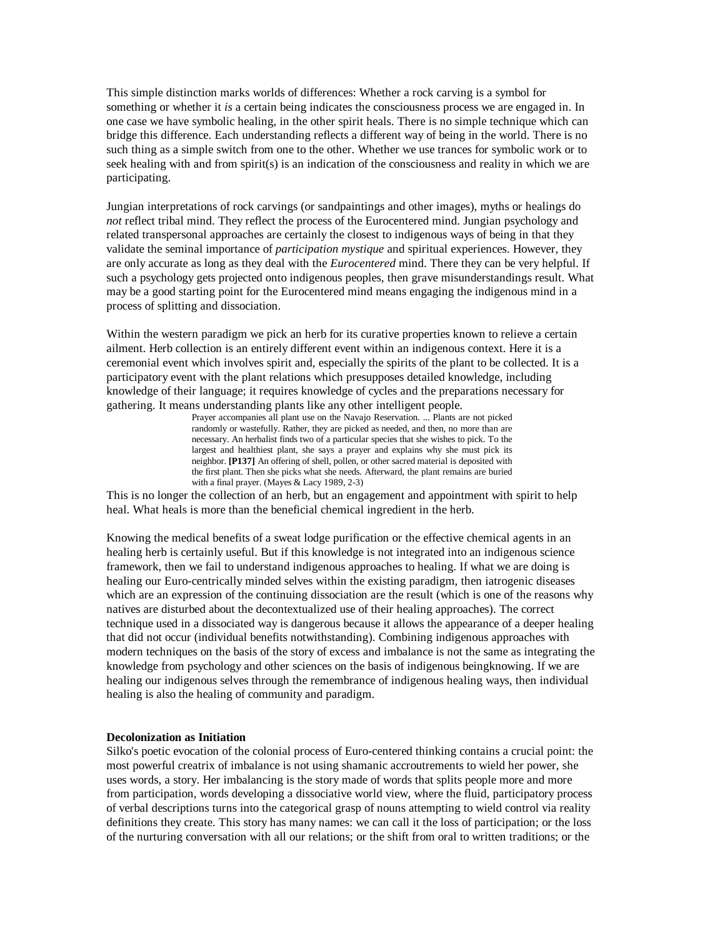This simple distinction marks worlds of differences: Whether a rock carving is a symbol for something or whether it *is* a certain being indicates the consciousness process we are engaged in. In one case we have symbolic healing, in the other spirit heals. There is no simple technique which can bridge this difference. Each understanding reflects a different way of being in the world. There is no such thing as a simple switch from one to the other. Whether we use trances for symbolic work or to seek healing with and from spirit(s) is an indication of the consciousness and reality in which we are participating.

Jungian interpretations of rock carvings (or sandpaintings and other images), myths or healings do *not* reflect tribal mind. They reflect the process of the Eurocentered mind. Jungian psychology and related transpersonal approaches are certainly the closest to indigenous ways of being in that they validate the seminal importance of *participation mystique* and spiritual experiences. However, they are only accurate as long as they deal with the *Eurocentered* mind. There they can be very helpful. If such a psychology gets projected onto indigenous peoples, then grave misunderstandings result. What may be a good starting point for the Eurocentered mind means engaging the indigenous mind in a process of splitting and dissociation.

Within the western paradigm we pick an herb for its curative properties known to relieve a certain ailment. Herb collection is an entirely different event within an indigenous context. Here it is a ceremonial event which involves spirit and, especially the spirits of the plant to be collected. It is a participatory event with the plant relations which presupposes detailed knowledge, including knowledge of their language; it requires knowledge of cycles and the preparations necessary for gathering. It means understanding plants like any other intelligent people.

> Prayer accompanies all plant use on the Navajo Reservation. ... Plants are not picked randomly or wastefully. Rather, they are picked as needed, and then, no more than are necessary. An herbalist finds two of a particular species that she wishes to pick. To the largest and healthiest plant, she says a prayer and explains why she must pick its neighbor. **[P137]** An offering of shell, pollen, or other sacred material is deposited with the first plant. Then she picks what she needs. Afterward, the plant remains are buried with a final prayer. (Mayes & Lacy 1989, 2-3)

This is no longer the collection of an herb, but an engagement and appointment with spirit to help heal. What heals is more than the beneficial chemical ingredient in the herb.

Knowing the medical benefits of a sweat lodge purification or the effective chemical agents in an healing herb is certainly useful. But if this knowledge is not integrated into an indigenous science framework, then we fail to understand indigenous approaches to healing. If what we are doing is healing our Euro-centrically minded selves within the existing paradigm, then iatrogenic diseases which are an expression of the continuing dissociation are the result (which is one of the reasons why natives are disturbed about the decontextualized use of their healing approaches). The correct technique used in a dissociated way is dangerous because it allows the appearance of a deeper healing that did not occur (individual benefits notwithstanding). Combining indigenous approaches with modern techniques on the basis of the story of excess and imbalance is not the same as integrating the knowledge from psychology and other sciences on the basis of indigenous beingknowing. If we are healing our indigenous selves through the remembrance of indigenous healing ways, then individual healing is also the healing of community and paradigm.

#### **Decolonization as Initiation**

Silko's poetic evocation of the colonial process of Euro-centered thinking contains a crucial point: the most powerful creatrix of imbalance is not using shamanic accroutrements to wield her power, she uses words, a story. Her imbalancing is the story made of words that splits people more and more from participation, words developing a dissociative world view, where the fluid, participatory process of verbal descriptions turns into the categorical grasp of nouns attempting to wield control via reality definitions they create. This story has many names: we can call it the loss of participation; or the loss of the nurturing conversation with all our relations; or the shift from oral to written traditions; or the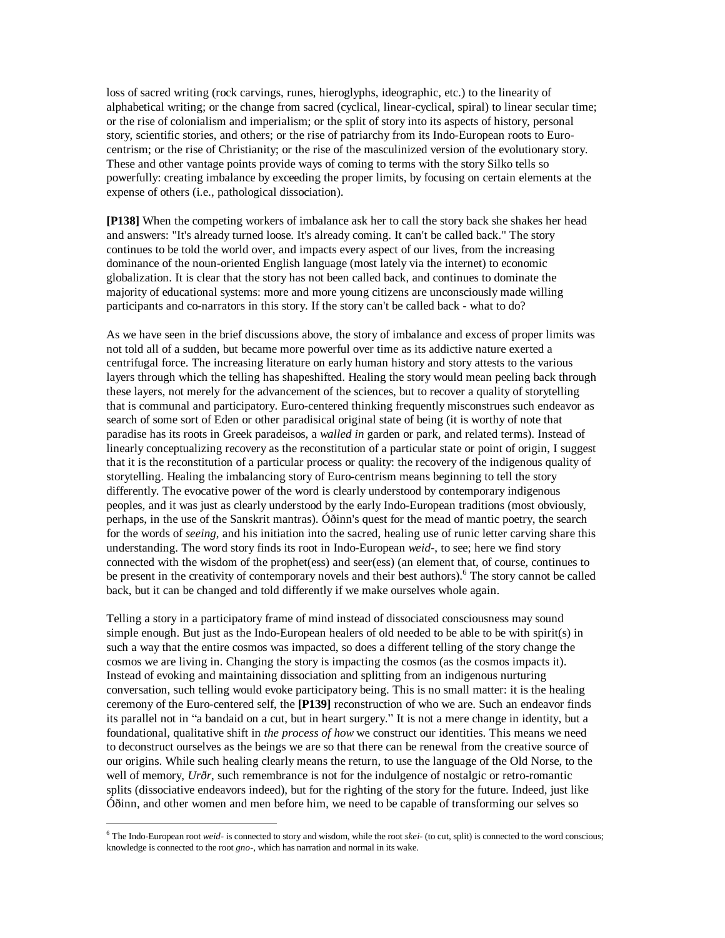loss of sacred writing (rock carvings, runes, hieroglyphs, ideographic, etc.) to the linearity of alphabetical writing; or the change from sacred (cyclical, linear-cyclical, spiral) to linear secular time; or the rise of colonialism and imperialism; or the split of story into its aspects of history, personal story, scientific stories, and others; or the rise of patriarchy from its Indo-European roots to Eurocentrism; or the rise of Christianity; or the rise of the masculinized version of the evolutionary story. These and other vantage points provide ways of coming to terms with the story Silko tells so powerfully: creating imbalance by exceeding the proper limits, by focusing on certain elements at the expense of others (i.e., pathological dissociation).

**[P138]** When the competing workers of imbalance ask her to call the story back she shakes her head and answers: "It's already turned loose. It's already coming. It can't be called back." The story continues to be told the world over, and impacts every aspect of our lives, from the increasing dominance of the noun-oriented English language (most lately via the internet) to economic globalization. It is clear that the story has not been called back, and continues to dominate the majority of educational systems: more and more young citizens are unconsciously made willing participants and co-narrators in this story. If the story can't be called back - what to do?

As we have seen in the brief discussions above, the story of imbalance and excess of proper limits was not told all of a sudden, but became more powerful over time as its addictive nature exerted a centrifugal force. The increasing literature on early human history and story attests to the various layers through which the telling has shapeshifted. Healing the story would mean peeling back through these layers, not merely for the advancement of the sciences, but to recover a quality of storytelling that is communal and participatory. Euro-centered thinking frequently misconstrues such endeavor as search of some sort of Eden or other paradisical original state of being (it is worthy of note that paradise has its roots in Greek paradeisos, a *walled in* garden or park, and related terms). Instead of linearly conceptualizing recovery as the reconstitution of a particular state or point of origin, I suggest that it is the reconstitution of a particular process or quality: the recovery of the indigenous quality of storytelling. Healing the imbalancing story of Euro-centrism means beginning to tell the story differently. The evocative power of the word is clearly understood by contemporary indigenous peoples, and it was just as clearly understood by the early Indo-European traditions (most obviously, perhaps, in the use of the Sanskrit mantras). Óðinn's quest for the mead of mantic poetry, the search for the words of *seeing*, and his initiation into the sacred, healing use of runic letter carving share this understanding. The word story finds its root in Indo-European *weid-*, to see; here we find story connected with the wisdom of the prophet(ess) and seer(ess) (an element that, of course, continues to be present in the creativity of contemporary novels and their best authors).<sup>6</sup> The story cannot be called back, but it can be changed and told differently if we make ourselves whole again.

Telling a story in a participatory frame of mind instead of dissociated consciousness may sound simple enough. But just as the Indo-European healers of old needed to be able to be with spirit(s) in such a way that the entire cosmos was impacted, so does a different telling of the story change the cosmos we are living in. Changing the story is impacting the cosmos (as the cosmos impacts it). Instead of evoking and maintaining dissociation and splitting from an indigenous nurturing conversation, such telling would evoke participatory being. This is no small matter: it is the healing ceremony of the Euro-centered self, the **[P139]** reconstruction of who we are. Such an endeavor finds its parallel not in "a bandaid on a cut, but in heart surgery." It is not a mere change in identity, but a foundational, qualitative shift in *the process of how* we construct our identities. This means we need to deconstruct ourselves as the beings we are so that there can be renewal from the creative source of our origins. While such healing clearly means the return, to use the language of the Old Norse, to the well of memory, *Urðr*, such remembrance is not for the indulgence of nostalgic or retro-romantic splits (dissociative endeavors indeed), but for the righting of the story for the future. Indeed, just like Óðinn, and other women and men before him, we need to be capable of transforming our selves so

<sup>6</sup> The Indo-European root *weid-* is connected to story and wisdom, while the root *skei-* (to cut, split) is connected to the word conscious; knowledge is connected to the root *gno-*, which has narration and normal in its wake.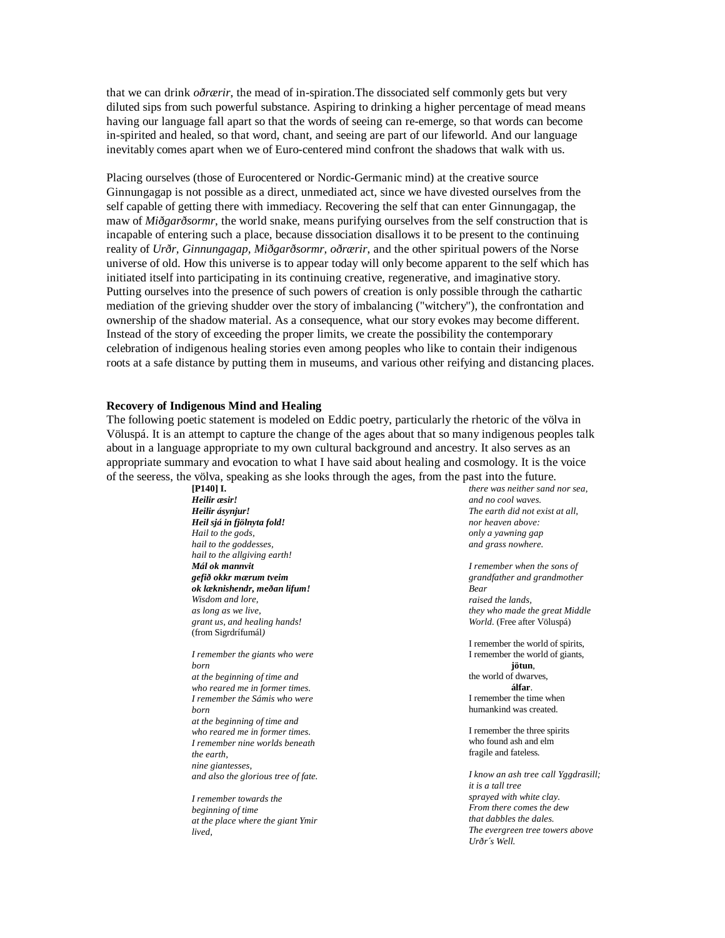that we can drink *oðrærir*, the mead of in-spiration.The dissociated self commonly gets but very diluted sips from such powerful substance. Aspiring to drinking a higher percentage of mead means having our language fall apart so that the words of seeing can re-emerge, so that words can become in-spirited and healed, so that word, chant, and seeing are part of our lifeworld. And our language inevitably comes apart when we of Euro-centered mind confront the shadows that walk with us.

Placing ourselves (those of Eurocentered or Nordic-Germanic mind) at the creative source Ginnungagap is not possible as a direct, unmediated act, since we have divested ourselves from the self capable of getting there with immediacy. Recovering the self that can enter Ginnungagap, the maw of *Miðgarðsormr*, the world snake, means purifying ourselves from the self construction that is incapable of entering such a place, because dissociation disallows it to be present to the continuing reality of *Urðr, Ginnungagap, Miðgarðsormr, oðrærir*, and the other spiritual powers of the Norse universe of old. How this universe is to appear today will only become apparent to the self which has initiated itself into participating in its continuing creative, regenerative, and imaginative story. Putting ourselves into the presence of such powers of creation is only possible through the cathartic mediation of the grieving shudder over the story of imbalancing ("witchery"), the confrontation and ownership of the shadow material. As a consequence, what our story evokes may become different. Instead of the story of exceeding the proper limits, we create the possibility the contemporary celebration of indigenous healing stories even among peoples who like to contain their indigenous roots at a safe distance by putting them in museums, and various other reifying and distancing places.

#### **Recovery of Indigenous Mind and Healing**

The following poetic statement is modeled on Eddic poetry, particularly the rhetoric of the völva in Völuspá. It is an attempt to capture the change of the ages about that so many indigenous peoples talk about in a language appropriate to my own cultural background and ancestry. It also serves as an appropriate summary and evocation to what I have said about healing and cosmology. It is the voice of the seeress, the völva, speaking as she looks through the ages, from the past into the future.

> **[P140] I.** *Heilir æsir! Heilir ásynjur! Heil sjá in fjölnyta fold! Hail to the gods, hail to the goddesses, hail to the allgiving earth! Mál ok mannvit gefið okkr mærum tveim ok læknishendr, meðan lifum! Wisdom and lore, as long as we live, grant us, and healing hands!*  (from Sigrdrífumál*)*

*I remember the giants who were born at the beginning of time and who reared me in former times. I remember the Sámis who were born at the beginning of time and who reared me in former times. I remember nine worlds beneath the earth, nine giantesses, and also the glorious tree of fate.*

*I remember towards the beginning of time at the place where the giant Ymir lived,*

*there was neither sand nor sea, and no cool waves. The earth did not exist at all, nor heaven above: only a yawning gap and grass nowhere.*

*I remember when the sons of grandfather and grandmother Bear raised the lands, they who made the great Middle World.* (Free after Völuspá)

I remember the world of spirits, I remember the world of giants, **jötun**,

the world of dwarves, **álfar**. I remember the time when

humankind was created.

I remember the three spirits who found ash and elm fragile and fateless.

*I know an ash tree call Yggdrasill; it is a tall tree sprayed with white clay. From there comes the dew that dabbles the dales. The evergreen tree towers above Urðr´s Well.*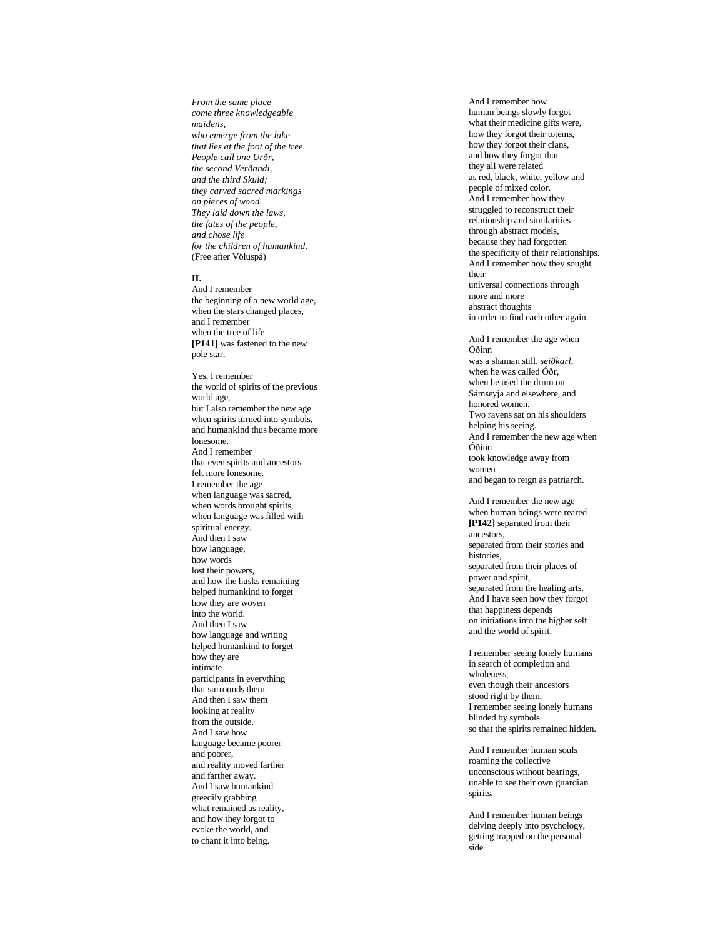*From the same place come three knowledgeable maidens, who emerge from the lake that lies at the foot of the tree. People call one Urðr, the second Verðandi, and the third Skuld; they carved sacred markings on pieces of wood. They laid down the laws, the fates of the people, and chose life for the children of humankind.*  (Free after Völuspá)

#### **II.**

And I remember the beginning of a new world age, when the stars changed places, and I remember when the tree of life **[P141]** was fastened to the new pole star.

Yes, I remember the world of spirits of the previous world age, but I also remember the new age when spirits turned into symbols, and humankind thus became more lonesome. And I remember that even spirits and ancestors felt more lonesome. I remember the age when language was sacred, when words brought spirits, when language was filled with spiritual energy. And then I saw how language, how words lost their powers, and how the husks remaining helped humankind to forget how they are woven into the world. And then I saw how language and writing helped humankind to forget how they are intimate participants in everything that surrounds them. And then I saw them looking at reality from the outside. And I saw how language became poorer and poorer, and reality moved farther and farther away. And I saw humankind greedily grabbing what remained as reality, and how they forgot to evoke the world, and to chant it into being.

And I remember how human beings slowly forgot what their medicine gifts were, how they forgot their totems, how they forgot their clans, and how they forgot that they all were related as red, black, white, yellow and people of mixed color. And I remember how they struggled to reconstruct their relationship and similarities through abstract models, because they had forgotten the specificity of their relationships. And I remember how they sought their universal connections through more and more abstract thoughts in order to find each other again.

And I remember the age when Óðinn was a shaman still, *seiðkarl,* when he was called Óðr, when he used the drum on Sámseyja and elsewhere, and honored women. Two ravens sat on his shoulders helping his seeing. And I remember the new age when Óðinn took knowledge away from women and began to reign as patriarch.

And I remember the new age when human beings were reared **[P142]** separated from their ancestors, separated from their stories and histories, separated from their places of power and spirit, separated from the healing arts. And I have seen how they forgot that happiness depends on initiations into the higher self and the world of spirit.

I remember seeing lonely humans in search of completion and wholeness, even though their ancestors stood right by them. I remember seeing lonely humans blinded by symbols so that the spirits remained hidden.

And I remember human souls roaming the collective unconscious without bearings, unable to see their own guardian spirits.

And I remember human beings delving deeply into psychology, getting trapped on the personal side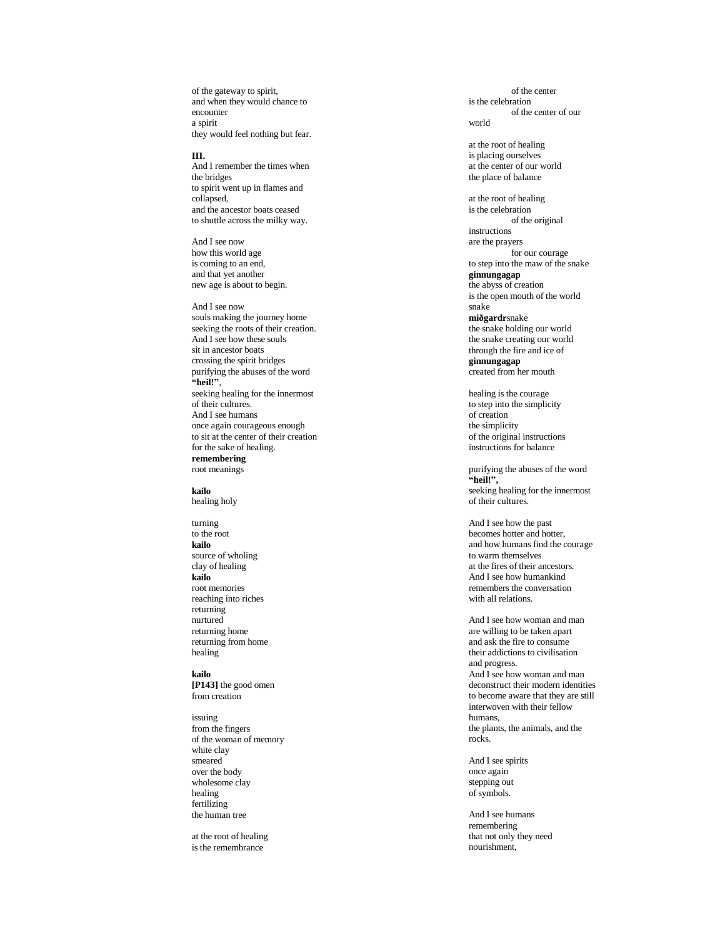of the gateway to spirit, and when they would chance to encounter a spirit they would feel nothing but fear.

#### **III.**

And I remember the times when the bridges to spirit went up in flames and collapsed, and the ancestor boats ceased to shuttle across the milky way.

And I see now how this world age is coming to an end, and that yet another new age is about to begin.

And I see now souls making the journey home seeking the roots of their creation. And I see how these souls sit in ancestor boats crossing the spirit bridges purifying the abuses of the word **"heil!"**, seeking healing for the innermost of their cultures. And I see humans once again courageous enough to sit at the center of their creation for the sake of healing. **remembering** root meanings

**kailo** healing holy

turning to the root **kailo** source of wholing clay of healing **kailo** root memories reaching into riches returning nurtured returning home returning from home healing

**kailo [P143]** the good omen from creation

issuing from the fingers of the woman of memory white clay smeared over the body wholesome clay healing fertilizing the human tree

at the root of healing is the remembrance

of the center is the celebration of the center of our world

at the root of healing is placing ourselves at the center of our world the place of balance

at the root of healing is the celebration of the original instructions are the prayers for our courage to step into the maw of the snake **ginnungagap** the abyss of creation is the open mouth of the world snake **miðgardr**snake the snake holding our world the snake creating our world through the fire and ice of **ginnungagap** created from her mouth

healing is the courage to step into the simplicity of creation the simplicity of the original instructions instructions for balance

purifying the abuses of the word **"heil!",** seeking healing for the innermost of their cultures.

And I see how the past becomes hotter and hotter, and how humans find the courage to warm themselves at the fires of their ancestors. And I see how humankind remembers the conversation with all relations.

And I see how woman and man are willing to be taken apart and ask the fire to consume their addictions to civilisation and progress. And I see how woman and man deconstruct their modern identities to become aware that they are still interwoven with their fellow humans, the plants, the animals, and the rocks.

And I see spirits once again stepping out of symbols.

And I see humans remembering that not only they need nourishment,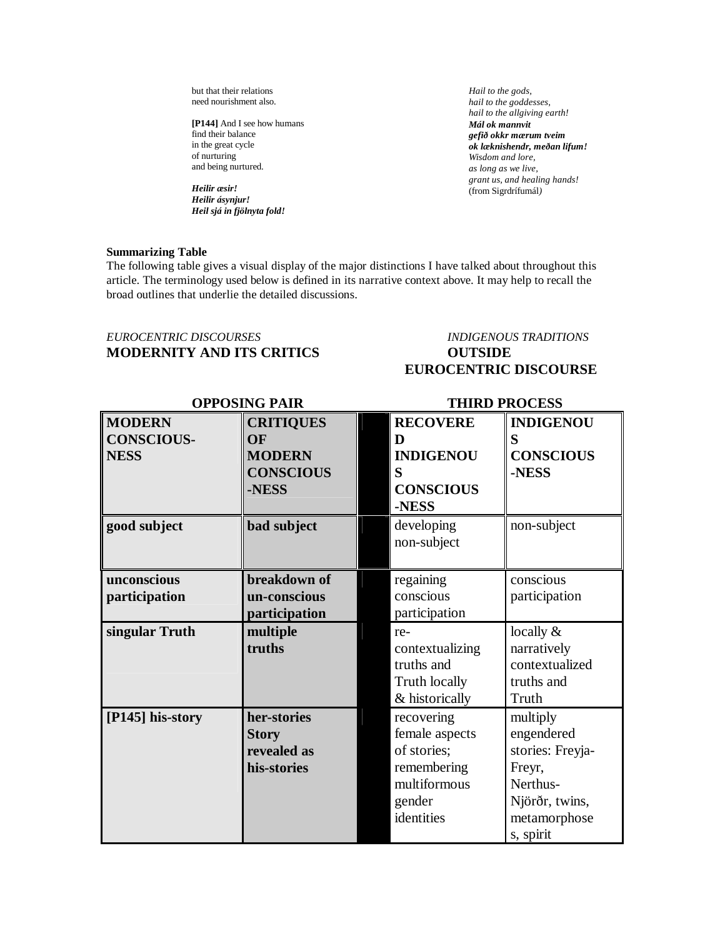but that their relations need nourishment also.

**[P144]** And I see how humans find their balance in the great cycle of nurturing and being nurtured.

*Heilir æsir! Heilir ásynjur! Heil sjá in fjölnyta fold!*

*Hail to the gods, hail to the goddesses, hail to the allgiving earth! Mál ok mannvit gefið okkr mærum tveim ok læknishendr, meðan lifum! Wisdom and lore, as long as we live, grant us, and healing hands!*  (from Sigrdrífumál*)*

#### **Summarizing Table**

The following table gives a visual display of the major distinctions I have talked about throughout this article. The terminology used below is defined in its narrative context above. It may help to recall the broad outlines that underlie the detailed discussions.

### *EUROCENTRIC DISCOURSES INDIGENOUS TRADITIONS* **MODERNITY AND ITS CRITICS OUTSIDE**

# **EUROCENTRIC DISCOURSE**

| <b>OPPOSING PAIR</b>                              |                                                                      |  | <b>THIRD PROCESS</b>                                                       |                                                    |  |
|---------------------------------------------------|----------------------------------------------------------------------|--|----------------------------------------------------------------------------|----------------------------------------------------|--|
| <b>MODERN</b><br><b>CONSCIOUS-</b><br><b>NESS</b> | <b>CRITIQUES</b><br>OF<br><b>MODERN</b><br><b>CONSCIOUS</b><br>-NESS |  | <b>RECOVERE</b><br>D<br><b>INDIGENOU</b><br>S<br><b>CONSCIOUS</b><br>-NESS | <b>INDIGENOU</b><br>S<br><b>CONSCIOUS</b><br>-NESS |  |
| good subject                                      | bad subject                                                          |  | developing<br>non-subject                                                  | non-subject                                        |  |
| unconscious                                       | breakdown of                                                         |  | regaining                                                                  | conscious                                          |  |
| participation                                     | un-conscious                                                         |  | conscious                                                                  | participation                                      |  |
|                                                   | participation                                                        |  | participation                                                              |                                                    |  |
| singular Truth                                    | multiple                                                             |  | re-                                                                        | locally $&$                                        |  |
|                                                   | truths                                                               |  | contextualizing                                                            | narratively                                        |  |
|                                                   |                                                                      |  | truths and                                                                 | contextualized                                     |  |
|                                                   |                                                                      |  | <b>Truth locally</b>                                                       | truths and                                         |  |
|                                                   |                                                                      |  | & historically                                                             | Truth                                              |  |
| [P145] his-story                                  | her-stories                                                          |  | recovering                                                                 | multiply                                           |  |
|                                                   | <b>Story</b><br>revealed as                                          |  | female aspects<br>of stories;                                              | engendered<br>stories: Freyja-                     |  |
|                                                   | his-stories                                                          |  | remembering                                                                | Freyr,                                             |  |
|                                                   |                                                                      |  | multiformous                                                               | Nerthus-                                           |  |
|                                                   |                                                                      |  | gender                                                                     | Njörðr, twins,                                     |  |
|                                                   |                                                                      |  | identities                                                                 | metamorphose                                       |  |
|                                                   |                                                                      |  |                                                                            | s, spirit                                          |  |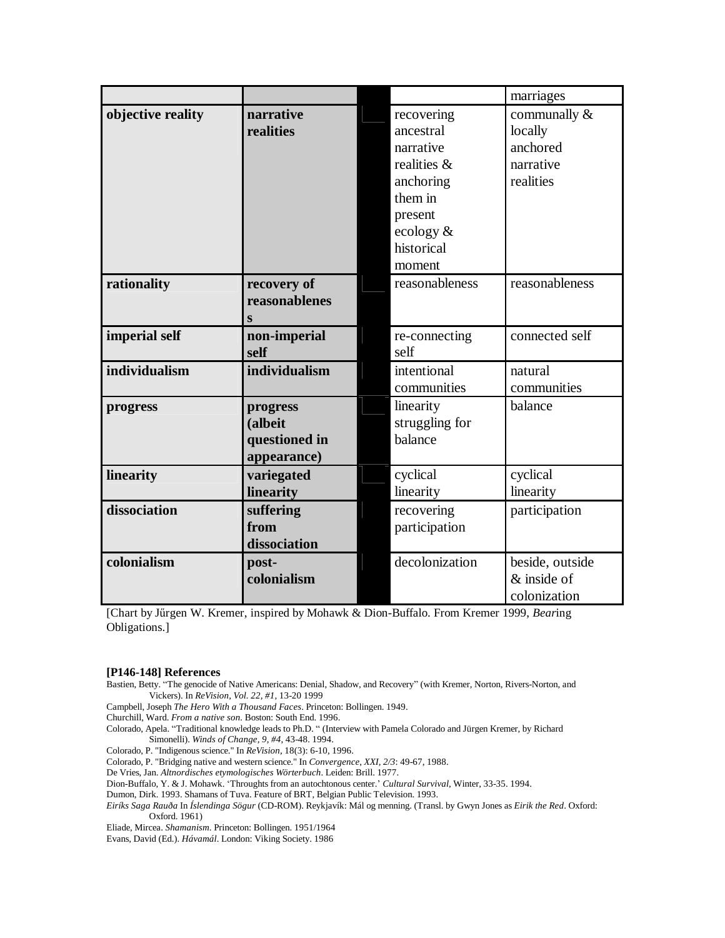|                   |               |                | marriages       |
|-------------------|---------------|----------------|-----------------|
| objective reality | narrative     | recovering     | communally &    |
|                   | realities     | ancestral      | locally         |
|                   |               | narrative      | anchored        |
|                   |               | realities &    | narrative       |
|                   |               | anchoring      | realities       |
|                   |               | them in        |                 |
|                   |               | present        |                 |
|                   |               | ecology $\&$   |                 |
|                   |               | historical     |                 |
|                   |               | moment         |                 |
| rationality       | recovery of   | reasonableness | reasonableness  |
|                   | reasonablenes |                |                 |
|                   | S             |                |                 |
| imperial self     | non-imperial  | re-connecting  | connected self  |
|                   | self          | self           |                 |
| individualism     | individualism | intentional    | natural         |
|                   |               | communities    | communities     |
| progress          | progress      | linearity      | balance         |
|                   | (albeit       | struggling for |                 |
|                   | questioned in | balance        |                 |
|                   | appearance)   |                |                 |
| linearity         | variegated    | cyclical       | cyclical        |
|                   | linearity     | linearity      | linearity       |
| dissociation      | suffering     | recovering     | participation   |
|                   | from          | participation  |                 |
|                   | dissociation  |                |                 |
| colonialism       | post-         | decolonization | beside, outside |
|                   | colonialism   |                | $&$ inside of   |
|                   |               |                | colonization    |

[Chart by Jűrgen W. Kremer, inspired by Mohawk & Dion-Buffalo. From Kremer 1999, *Bear*ing Obligations.]

#### **[P146-148] References**

- Bastien, Betty. "The genocide of Native Americans: Denial, Shadow, and Recovery" (with Kremer, Norton, Rivers-Norton, and Vickers). In *ReVision*, *Vol. 22, #1,* 13-20 1999
- Campbell, Joseph *The Hero With a Thousand Faces*. Princeton: Bollingen. 1949.
- Churchill, Ward. *From a native son.* Boston: South End. 1996.
- Colorado, Apela. "Traditional knowledge leads to Ph.D. " (Interview with Pamela Colorado and Jürgen Kremer, by Richard Simonelli). *Winds of Change, 9, #4*, 43-48. 1994.

Colorado, P. "Indigenous science." In *ReVision*, 18(3): 6-10, 1996.

- Colorado, P. "Bridging native and western science." In *Convergence*, *XXI, 2/3*: 49-67, 1988.
- De Vries, Jan. *Altnordisches etymologisches Wörterbuch*. Leiden: Brill. 1977.

Dion-Buffalo, Y. & J. Mohawk. 'Throughts from an autochtonous center.'*Cultural Survival*, Winter, 33-35. 1994.

- Dumon, Dirk. 1993. Shamans of Tuva. Feature of BRT, Belgian Public Television. 1993.
- *Eiríks Saga Rauða* In *Íslendinga Sögur* (CD-ROM). Reykjavík: Mál og menning. (Transl. by Gwyn Jones as *Eirik the Red*. Oxford: Oxford. 1961)
- Eliade, Mircea. *Shamanism*. Princeton: Bollingen. 1951/1964

Evans, David (Ed.). *Hávamál*. London: Viking Society. 1986